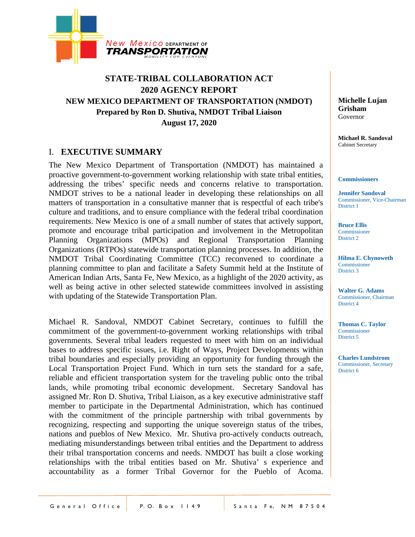

# **STATE-TRIBAL COLLABORATION ACT 2020 AGENCY REPORT NEW MEXICO DEPARTMENT OF TRANSPORTATION (NMDOT) Prepared by Ron D. Shutiva, NMDOT Tribal Liaison August 17, 2020**

# I. **EXECUTIVE SUMMARY**

The New Mexico Department of Transportation (NMDOT) has maintained a proactive government-to-government working relationship with state tribal entities, addressing the tribes' specific needs and concerns relative to transportation. NMDOT strives to be a national leader in developing these relationships on all matters of transportation in a consultative manner that is respectful of each tribe's culture and traditions, and to ensure compliance with the federal tribal coordination requirements. New Mexico is one of a small number of states that actively support, promote and encourage tribal participation and involvement in the Metropolitan Planning Organizations (MPOs) and Regional Transportation Planning Organizations (RTPOs) statewide transportation planning processes. In addition, the NMDOT Tribal Coordinating Committee (TCC) reconvened to coordinate a planning committee to plan and facilitate a Safety Summit held at the Institute of American Indian Arts, Santa Fe, New Mexico, as a highlight of the 2020 activity, as well as being active in other selected statewide committees involved in assisting with updating of the Statewide Transportation Plan.

Michael R. Sandoval, NMDOT Cabinet Secretary, continues to fulfill the commitment of the government-to-government working relationships with tribal governments. Several tribal leaders requested to meet with him on an individual bases to address specific issues, i.e. Right of Ways, Project Developments within tribal boundaries and especially providing an opportunity for funding through the Local Transportation Project Fund. Which in turn sets the standard for a safe, reliable and efficient transportation system for the traveling public onto the tribal lands, while promoting tribal economic development. Secretary Sandoval has assigned Mr. Ron D. Shutiva, Tribal Liaison, as a key executive administrative staff member to participate in the Departmental Administration, which has continued with the commitment of the principle partnership with tribal governments by recognizing, respecting and supporting the unique sovereign status of the tribes, nations and pueblos of New Mexico. Mr. Shutiva pro-actively conducts outreach, mediating misunderstandings between tribal entities and the Department to address their tribal transportation concerns and needs. NMDOT has built a close working relationships with the tribal entities based on Mr. Shutiva' s experience and accountability as a former Tribal Governor for the Pueblo of Acoma.

**Michelle Lujan Grisham** Governor

**Michael R. Sandoval** Cabinet Secretary

#### **Commissioners**

**Jennifer Sandoval** Commissioner, Vice-Chairman District 1

**Bruce Ellis** Commissioner District 2

**Hilma E. Chynoweth** Commissioner District 3

**Walter G. Adams** Commissioner, Chairman District 4

**Thomas C. Taylor** Commissioner District 5

**Charles Lundstrom** Commissioner, Secretary District 6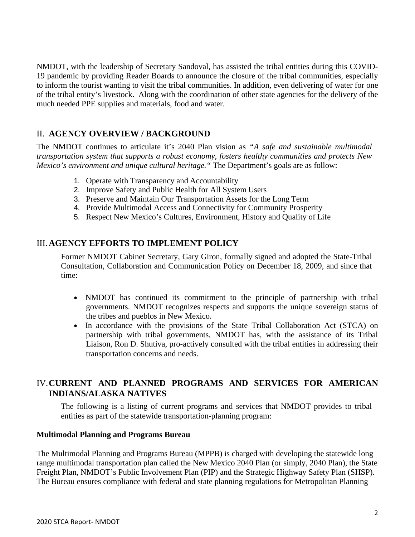NMDOT, with the leadership of Secretary Sandoval, has assisted the tribal entities during this COVID-19 pandemic by providing Reader Boards to announce the closure of the tribal communities, especially to inform the tourist wanting to visit the tribal communities. In addition, even delivering of water for one of the tribal entity's livestock. Along with the coordination of other state agencies for the delivery of the much needed PPE supplies and materials, food and water.

# II. **AGENCY OVERVIEW / BACKGROUND**

The NMDOT continues to articulate it's 2040 Plan vision as *"A safe and sustainable multimodal transportation system that supports a robust economy, fosters healthy communities and protects New Mexico's environment and unique cultural heritage."* The Department's goals are as follow:

- 1. Operate with Transparency and Accountability
- 2. Improve Safety and Public Health for All System Users
- 3. Preserve and Maintain Our Transportation Assets for the Long Term
- 4. Provide Multimodal Access and Connectivity for Community Prosperity
- 5. Respect New Mexico's Cultures, Environment, History and Quality of Life

# III.**AGENCY EFFORTS TO IMPLEMENT POLICY**

Former NMDOT Cabinet Secretary, Gary Giron, formally signed and adopted the State-Tribal Consultation, Collaboration and Communication Policy on December 18, 2009, and since that time:

- NMDOT has continued its commitment to the principle of partnership with tribal governments. NMDOT recognizes respects and supports the unique sovereign status of the tribes and pueblos in New Mexico.
- In accordance with the provisions of the State Tribal Collaboration Act (STCA) on partnership with tribal governments, NMDOT has, with the assistance of its Tribal Liaison, Ron D. Shutiva, pro-actively consulted with the tribal entities in addressing their transportation concerns and needs.

# IV.**CURRENT AND PLANNED PROGRAMS AND SERVICES FOR AMERICAN INDIANS/ALASKA NATIVES**

The following is a listing of current programs and services that NMDOT provides to tribal entities as part of the statewide transportation-planning program:

## **Multimodal Planning and Programs Bureau**

The Multimodal Planning and Programs Bureau (MPPB) is charged with developing the statewide long range multimodal transportation plan called the New Mexico 2040 Plan (or simply, 2040 Plan), the State Freight Plan, NMDOT's Public Involvement Plan (PIP) and the Strategic Highway Safety Plan (SHSP). The Bureau ensures compliance with federal and state planning regulations for Metropolitan Planning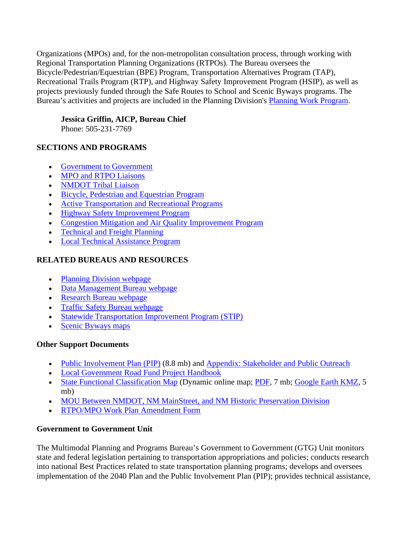Organizations (MPOs) and, for the non-metropolitan consultation process, through working with Regional Transportation Planning Organizations (RTPOs). The Bureau oversees the Bicycle/Pedestrian/Equestrian (BPE) Program, Transportation Alternatives Program (TAP), Recreational Trails Program (RTP), and Highway Safety Improvement Program (HSIP), as well as projects previously funded through the Safe Routes to School and Scenic Byways programs. The Bureau's activities and projects are included in the Planning Division's [Planning Work Program.](https://www.dot.state.nm.us/content/nmdot/en/Planning_Division.html#PWP)

# **Jessica Griffin, AICP, Bureau Chief**

Phone: 505-231-7769

# **SECTIONS AND PROGRAMS**

- [Government to Government](https://www.dot.state.nm.us/content/nmdot/en/Planning.html#government)
- [MPO and RTPO Liaisons](https://www.dot.state.nm.us/content/nmdot/en/Planning.html#MPO-RTPO)
- [NMDOT Tribal Liaison](https://www.dot.state.nm.us/content/nmdot/en/Planning.html#TL)
- [Bicycle, Pedestrian and Equestrian Program](https://www.dot.state.nm.us/content/nmdot/en/Planning.html#BPE)
- [Active Transportation and Recreational Programs](https://www.dot.state.nm.us/content/nmdot/en/Planning.html#ATRP)
- [Highway Safety Improvement Program](https://www.dot.state.nm.us/content/nmdot/en/Planning.html#HSIP)
- [Congestion Mitigation and Air Quality Improvement Program](https://www.dot.state.nm.us/content/nmdot/en/Planning.html#CMAQ)
- [Technical and Freight Planning](https://www.dot.state.nm.us/content/nmdot/en/Planning.html#tech-freight)
- [Local Technical Assistance Program](https://www.dot.state.nm.us/content/nmdot/en/Planning.html#LTAP)

# **RELATED BUREAUS AND RESOURCES**

- [Planning Division webpage](https://www.dot.state.nm.us/content/nmdot/en/Planning_Division.html)
- [Data Management Bureau webpage](https://www.dot.state.nm.us/content/nmdot/en/Data_Management_Bureau.html)
- [Research Bureau webpage](https://www.dot.state.nm.us/content/nmdot/en/Research.html)
- [Traffic Safety Bureau webpage](https://www.dot.state.nm.us/content/nmdot/en/Traffic_Safety.html)
- [Statewide Transportation Improvement Program \(STIP\)](https://www.dot.state.nm.us/content/nmdot/en/Engineering_Support.html#stip)
- [Scenic Byways maps](https://www.dot.state.nm.us/content/nmdot/en/byways.html)

# **Other Support Documents**

- [Public Involvement Plan \(PIP\)](https://www.dot.state.nm.us/content/dam/nmdot/planning/NMDOT_Public_Involvement_Plan.pdf) (8.8 mb) and [Appendix: Stakeholder and Public Outreach](https://www.dot.state.nm.us/content/dam/nmdot/planning/NMDOT_Public_Involvement_Plan_Appendix.pdf)
- [Local Government Road Fund Project Handbook](https://www.dot.state.nm.us/content/dam/nmdot/planning/2014_Handbook.pdf)
- [State Functional Classification Map](http://nmdot.maps.arcgis.com/apps/Viewer/index.html?appid=39c62d2a54744d2eafba8faa9b4a2c70) (Dynamic online map; [PDF,](https://www.dot.state.nm.us/content/dam/nmdot/planning/NMDOT_FC_Map.pdf) 7 mb; [Google Earth KMZ,](https://www.dot.state.nm.us/content/dam/nmdot/planning/NMDOT_FC_Map.zip) 5 mb)
- [MOU Between NMDOT, NM MainStreet, and NM Historic Preservation Division](https://www.dot.state.nm.us/content/dam/nmdot/planning/M01435_NMMS_NMHPD_MOU.pdf)
- [RTPO/MPO Work Plan Amendment Form](https://www.dot.state.nm.us/content/dam/nmdot/planning/RTPO_MPO_WP_Amendment_Form.docx)

# **Government to Government Unit**

The Multimodal Planning and Programs Bureau's Government to Government (GTG) Unit monitors state and federal legislation pertaining to transportation appropriations and policies; conducts research into national Best Practices related to state transportation planning programs; develops and oversees implementation of the 2040 Plan and the Public Involvement Plan (PIP); provides technical assistance,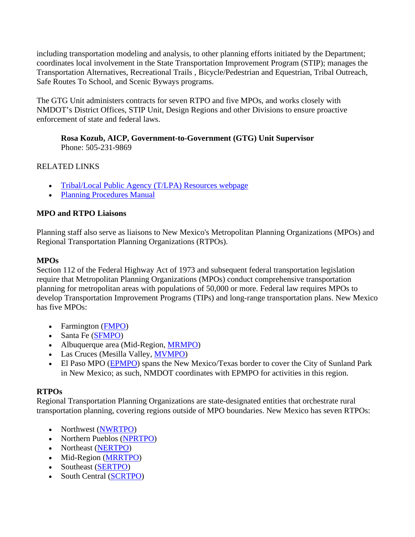including transportation modeling and analysis, to other planning efforts initiated by the Department; coordinates local involvement in the State Transportation Improvement Program (STIP); manages the Transportation Alternatives, Recreational Trails , Bicycle/Pedestrian and Equestrian, Tribal Outreach, Safe Routes To School, and Scenic Byways programs.

The GTG Unit administers contracts for seven RTPO and five MPOs, and works closely with NMDOT's District Offices, STIP Unit, Design Regions and other Divisions to ensure proactive enforcement of state and federal laws.

**Rosa Kozub, AICP, Government-to-Government (GTG) Unit Supervisor** Phone: 505-231-9869

# RELATED LINKS

- [Tribal/Local Public Agency \(T/LPA\) Resources webpage](https://www.dot.state.nm.us/content/nmdot/en/POD_Pubs.html)
- [Planning Procedures Manual](https://www.dot.state.nm.us/content/dam/nmdot/planning/Planning_Procedures_Manual.pdf)

# **MPO and RTPO Liaisons**

Planning staff also serve as liaisons to New Mexico's Metropolitan Planning Organizations (MPOs) and Regional Transportation Planning Organizations (RTPOs).

# **MPOs**

Section 112 of the Federal Highway Act of 1973 and subsequent federal transportation legislation require that Metropolitan Planning Organizations (MPOs) conduct comprehensive transportation planning for metropolitan areas with populations of 50,000 or more. Federal law requires MPOs to develop Transportation Improvement Programs (TIPs) and long-range transportation plans. New Mexico has five MPOs:

- Farmington [\(FMPO\)](http://www.fmtn.org/363/Farmington-Metropolitan-Planning-Organiz)
- Santa Fe [\(SFMPO\)](http://santafempo.org/)
- Albuquerque area (Mid-Region, [MRMPO\)](https://www.mrcog-nm.gov/233/Metro-Planning)
- Las Cruces (Mesilla Valley, **MVMPO)**
- El Paso MPO [\(EPMPO\)](http://www.elpasompo.org/) spans the New Mexico/Texas border to cover the City of Sunland Park in New Mexico; as such, NMDOT coordinates with EPMPO for activities in this region.

## **RTPOs**

Regional Transportation Planning Organizations are state-designated entities that orchestrate rural transportation planning, covering regions outside of MPO boundaries. New Mexico has seven RTPOs:

- Northwest [\(NWRTPO\)](http://www.nwnmcog.com/)
- Northern Pueblos [\(NPRTPO\)](http://www.rtponm.org/northern-pueblos)
- Northeast [\(NERTPO\)](http://www.rtponm.org/north-east)
- Mid-Region [\(MRRTPO\)](https://www.mrcog-nm.gov/294/Rural-Planning)
- Southeast [\(SERTPO\)](https://snmedd.com/sertpo-committees/)
- South Central [\(SCRTPO\)](http://www.rtponm.org/south-central)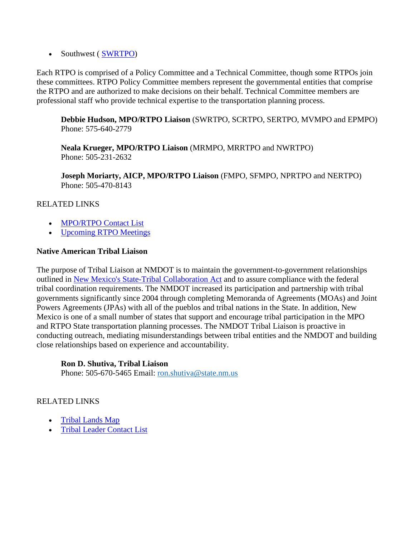• Southwest (SWRTPO)

Each RTPO is comprised of a Policy Committee and a Technical Committee, though some RTPOs join these committees. RTPO Policy Committee members represent the governmental entities that comprise the RTPO and are authorized to make decisions on their behalf. Technical Committee members are professional staff who provide technical expertise to the transportation planning process.

**Debbie Hudson, MPO/RTPO Liaison** (SWRTPO, SCRTPO, SERTPO, MVMPO and EPMPO) Phone: 575-640-2779

**Neala Krueger, MPO/RTPO Liaison** (MRMPO, MRRTPO and NWRTPO) Phone: 505-231-2632

**Joseph Moriarty, AICP, MPO/RTPO Liaison** (FMPO, SFMPO, NPRTPO and NERTPO) Phone: 505-470-8143

# RELATED LINKS

- [MPO/RTPO Contact List](https://www.dot.state.nm.us/content/dam/nmdot/planning/MPO_RTPO_NMDOT_Contacts.pdf)
- [Upcoming RTPO](http://www.rtponm.org/#!meetings/c1fyr) Meetings

## **Native American Tribal Liaison**

The purpose of Tribal Liaison at NMDOT is to maintain the government-to-government relationships outlined in [New Mexico's State-Tribal Collaboration Act](https://www.nmlegis.gov/Sessions/09%20Regular/bills/senate/SB0196.html) and to assure compliance with the federal tribal coordination requirements. The NMDOT increased its participation and partnership with tribal governments significantly since 2004 through completing Memoranda of Agreements (MOAs) and Joint Powers Agreements (JPAs) with all of the pueblos and tribal nations in the State. In addition, New Mexico is one of a small number of states that support and encourage tribal participation in the MPO and RTPO State transportation planning processes. The NMDOT Tribal Liaison is proactive in conducting outreach, mediating misunderstandings between tribal entities and the NMDOT and building close relationships based on experience and accountability.

## **Ron D. Shutiva, Tribal Liaison**

Phone: 505-670-5465 Email: [ron.shutiva@state.nm.us](mailto:ron.shutiva@state.nm.us)

# RELATED LINKS

- [Tribal Lands Map](https://www.dot.state.nm.us/content/dam/nmdot/planning/Native_Amer_Lands-NMDOT_Dist-RPO_State_Asz.pdf)
- [Tribal Leader Contact List](https://www.dot.state.nm.us/content/dam/nmdot/planning/Tribal_Contact_Listing.pdf)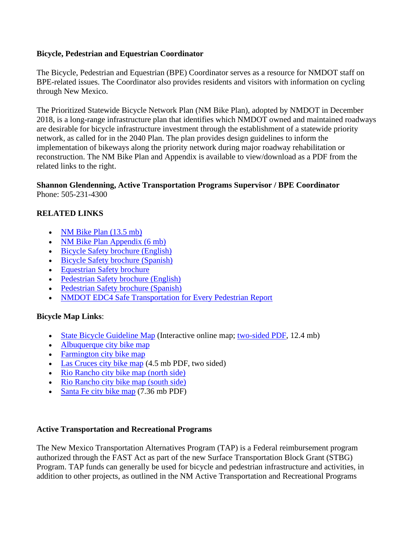## **Bicycle, Pedestrian and Equestrian Coordinator**

The Bicycle, Pedestrian and Equestrian (BPE) Coordinator serves as a resource for NMDOT staff on BPE-related issues. The Coordinator also provides residents and visitors with information on cycling through New Mexico.

The Prioritized Statewide Bicycle Network Plan (NM Bike Plan), adopted by NMDOT in December 2018, is a long-range infrastructure plan that identifies which NMDOT owned and maintained roadways are desirable for bicycle infrastructure investment through the establishment of a statewide priority network, as called for in the 2040 Plan. The plan provides design guidelines to inform the implementation of bikeways along the priority network during major roadway rehabilitation or reconstruction. The NM Bike Plan and Appendix is available to view/download as a PDF from the related links to the right.

### **Shannon Glendenning, Active Transportation Programs Supervisor / BPE Coordinator** Phone: 505-231-4300

# **RELATED LINKS**

- [NM Bike Plan \(13.5 mb\)](https://www.dot.state.nm.us/content/dam/nmdot/BPE/NM_Bike_Plan.pdf)
- [NM Bike Plan Appendix \(6 mb\)](https://www.dot.state.nm.us/content/dam/nmdot/BPE/NM_Bike_Plan-Appendix.pdf)
- [Bicycle Safety brochure \(English\)](https://www.dot.state.nm.us/content/dam/nmdot/BPE/BPE_Bike_Brochure2010-English.pdf)
- [Bicycle Safety brochure \(Spanish\)](https://www.dot.state.nm.us/content/dam/nmdot/BPE/BPE_Bike_Brochure2010-Spanish.pdf)
- [Equestrian Safety brochure](https://www.dot.state.nm.us/content/dam/nmdot/BPE/EQSafetyPDF.pdf)
- [Pedestrian Safety brochure \(English\)](https://www.dot.state.nm.us/content/dam/nmdot/BPE/BPE_Ped_Brochure2010-English.pdf)
- [Pedestrian Safety brochure \(Spanish\)](https://www.dot.state.nm.us/content/dam/nmdot/BPE/BPE_Ped_Brochure2010-Spanish.pdf)
- [NMDOT EDC4 Safe Transportation for Every Pedestrian Report](https://www.dot.state.nm.us/content/dam/nmdot/BPE/NewMexico_ActionPlan_EDC4_STEP.pdf)

## **Bicycle Map Links**:

- [State Bicycle Guideline Map](http://nmdot.maps.arcgis.com/apps/webappviewer/index.html?id=25379a5f300c4aafbd36147c7c7127d1) (Interactive online map; [two-sided PDF,](https://www.dot.state.nm.us/content/dam/nmdot/BPE/NMBikeGuidelineMap.pdf) 12.4 mb)
- [Albuquerque city bike map](http://www.cabq.gov/parksandrecreation/recreation/bike/bike-map)
- [Farmington city bike map](http://www.fmtn.org/DocumentCenter/View/748)
- [Las Cruces city bike map](http://mesillavalleympo.org/wp-content/uploads/2016/01/061115bikesuitabilityfinaldraft.pdf) (4.5 mb PDF, two sided)
- [Rio Rancho city bike map \(north side\)](http://www.rrnm.gov/DocumentCenter/View/63553)
- [Rio Rancho city bike map \(south side\)](http://www.rrnm.gov/DocumentCenter/View/63554)
- [Santa Fe city bike map](http://santafempo.org/wp-content/uploads/2009/07/Front_Bikeways_and_Trails_map_2015.pdf) (7.36 mb PDF)

#### **Active Transportation and Recreational Programs**

The New Mexico Transportation Alternatives Program (TAP) is a Federal reimbursement program authorized through the FAST Act as part of the new Surface Transportation Block Grant (STBG) Program. TAP funds can generally be used for bicycle and pedestrian infrastructure and activities, in addition to other projects, as outlined in the NM Active Transportation and Recreational Programs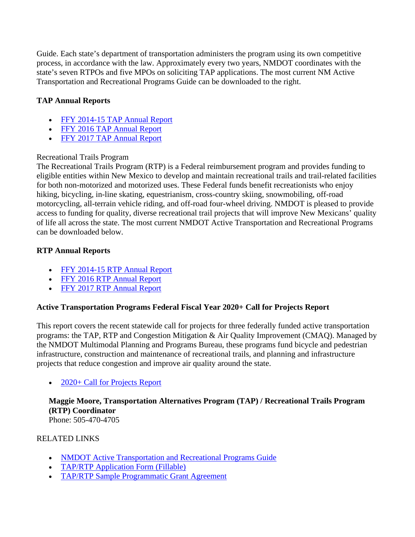Guide. Each state's department of transportation administers the program using its own competitive process, in accordance with the law. Approximately every two years, NMDOT coordinates with the state's seven RTPOs and five MPOs on soliciting TAP applications. The most current NM Active Transportation and Recreational Programs Guide can be downloaded to the right.

# **TAP Annual Reports**

- [FFY 2014-15 TAP Annual Report](https://www.dot.state.nm.us/content/dam/nmdot/planning/ActiveProg/NMDOT_TAP_Annual_Report_FFY1415.pdf)
- [FFY 2016 TAP Annual Report](https://www.dot.state.nm.us/content/dam/nmdot/planning/ActiveProg/NMDOT_TAP_Annual_Report_FFY16.pdf)
- [FFY 2017 TAP Annual Report](https://www.dot.state.nm.us/content/dam/nmdot/planning/ActiveProg/NMDOT_TAP_Annual_Report_FFY17.pdf)

# Recreational Trails Program

The Recreational Trails Program (RTP) is a Federal reimbursement program and provides funding to eligible entities within New Mexico to develop and maintain recreational trails and trail-related facilities for both non-motorized and motorized uses. These Federal funds benefit recreationists who enjoy hiking, bicycling, in-line skating, equestrianism, cross-country skiing, snowmobiling, off-road motorcycling, all-terrain vehicle riding, and off-road four-wheel driving. NMDOT is pleased to provide access to funding for quality, diverse recreational trail projects that will improve New Mexicans' quality of life all across the state. The most current NMDOT Active Transportation and Recreational Programs can be downloaded below.

# **RTP Annual Reports**

- [FFY 2014-15 RTP Annual Report](https://www.dot.state.nm.us/content/dam/nmdot/planning/ActiveProg/NMDOT_RTP_Annual_Report_FFY1415.pdf)
- [FFY 2016 RTP Annual Report](https://www.dot.state.nm.us/content/dam/nmdot/planning/ActiveProg/NMDOT_RTP_Annual_Report_FFY16.pdf)
- [FFY 2017 RTP Annual Report](https://www.dot.state.nm.us/content/dam/nmdot/planning/ActiveProg/NMDOT_RTP_Annual_Report_FFY17.pdf)

# **Active Transportation Programs Federal Fiscal Year 2020+ Call for Projects Report**

This report covers the recent statewide call for projects for three federally funded active transportation programs: the TAP, RTP and Congestion Mitigation & Air Quality Improvement (CMAQ). Managed by the NMDOT Multimodal Planning and Programs Bureau, these programs fund bicycle and pedestrian infrastructure, construction and maintenance of recreational trails, and planning and infrastructure projects that reduce congestion and improve air quality around the state.

# • [2020+ Call for Projects Report](https://www.dot.state.nm.us/content/dam/nmdot/planning/ActiveProg/NMDOT_ATP_Call_Report_2020_.pdf)

**Maggie Moore, Transportation Alternatives Program (TAP) / Recreational Trails Program (RTP) Coordinator** Phone: 505-470-4705

# RELATED LINKS

- [NMDOT Active Transportation and Recreational Programs Guide](https://www.dot.state.nm.us/content/dam/nmdot/planning/ActiveProg/NMDOT_TAP-RTP_Guide.pdf)
- [TAP/RTP Application Form \(Fillable\)](https://www.dot.state.nm.us/content/dam/nmdot/planning/ActiveProg/NMDOT_TAP-RTP_Application.pdf)
- [TAP/RTP Sample Programmatic Grant Agreement](https://www.dot.state.nm.us/content/dam/nmdot/planning/ActiveProg/NMDOT_TAP-RTP_PA-sample.pdf)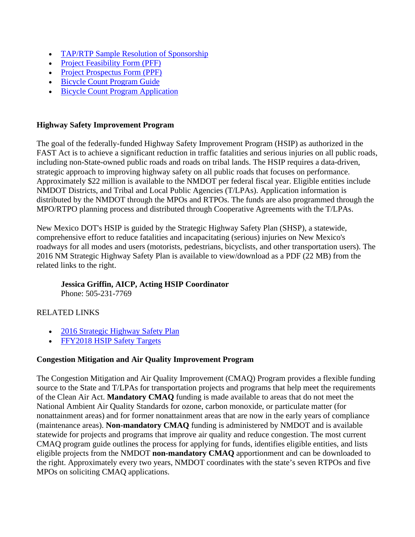- [TAP/RTP Sample Resolution of Sponsorship](https://www.dot.state.nm.us/content/dam/nmdot/planning/ActiveProg/NMDOT_TAP-RTP_Resolution-sample.pdf)
- [Project Feasibility Form \(PFF\)](https://www.dot.state.nm.us/content/dam/nmdot/planning/ActiveProg/NMDOT_PFF.docx)
- [Project Prospectus Form \(PPF\)](https://www.dot.state.nm.us/content/dam/nmdot/planning/ActiveProg/NMDOT_PPF.docx)
- [Bicycle Count Program Guide](https://www.dot.state.nm.us/content/dam/nmdot/planning/ActiveProg/NMDOT_Bicycle_Count_Program_Guide.pdf)
- [Bicycle Count Program Application](https://www.dot.state.nm.us/content/dam/nmdot/planning/ActiveProg/NMDOT_Bicycle_Count_Program_Application.pdf)

## **Highway Safety Improvement Program**

The goal of the federally-funded Highway Safety Improvement Program (HSIP) as authorized in the FAST Act is to achieve a significant reduction in traffic fatalities and serious injuries on all public roads, including non-State-owned public roads and roads on tribal lands. The HSIP requires a data-driven, strategic approach to improving highway safety on all public roads that focuses on performance. Approximately \$22 million is available to the NMDOT per federal fiscal year. Eligible entities include NMDOT Districts, and Tribal and Local Public Agencies (T/LPAs). Application information is distributed by the NMDOT through the MPOs and RTPOs. The funds are also programmed through the MPO/RTPO planning process and distributed through Cooperative Agreements with the T/LPAs.

New Mexico DOT's HSIP is guided by the Strategic Highway Safety Plan (SHSP), a statewide, comprehensive effort to reduce fatalities and incapacitating (serious) injuries on New Mexico's roadways for all modes and users (motorists, pedestrians, bicyclists, and other transportation users). The 2016 NM Strategic Highway Safety Plan is available to view/download as a PDF (22 MB) from the related links to the right.

## **Jessica Griffin, AICP, Acting HSIP Coordinator**

Phone: 505-231-7769

## RELATED LINKS

- [2016 Strategic Highway Safety Plan](https://www.dot.state.nm.us/content/dam/nmdot/planning/NMDOT_2016_SHSP.pdf)
- [FFY2018 HSIP Safety Targets](https://www.dot.state.nm.us/content/dam/nmdot/planning/NMDOT_FFY2018_HSIP_Safety_Targets_Summary.pdf)

## **Congestion Mitigation and Air Quality Improvement Program**

The Congestion Mitigation and Air Quality Improvement (CMAQ) Program provides a flexible funding source to the State and T/LPAs for transportation projects and programs that help meet the requirements of the Clean Air Act. **Mandatory CMAQ** funding is made available to areas that do not meet the National Ambient Air Quality Standards for ozone, carbon monoxide, or particulate matter (for nonattainment areas) and for former nonattainment areas that are now in the early years of compliance (maintenance areas). **Non-mandatory CMAQ** funding is administered by NMDOT and is available statewide for projects and programs that improve air quality and reduce congestion. The most current CMAQ program guide outlines the process for applying for funds, identifies eligible entities, and lists eligible projects from the NMDOT **non-mandatory CMAQ** apportionment and can be downloaded to the right. Approximately every two years, NMDOT coordinates with the state's seven RTPOs and five MPOs on soliciting CMAQ applications.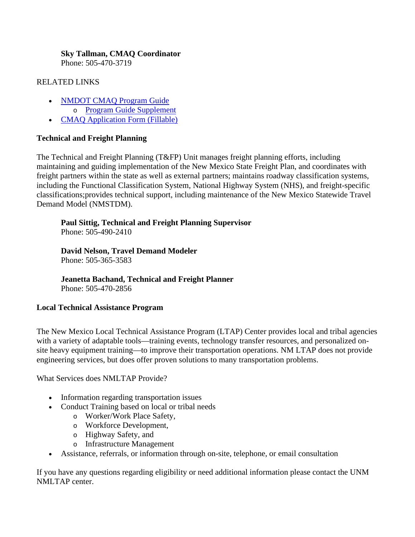# **Sky Tallman, CMAQ Coordinator**

Phone: 505-470-3719

### RELATED LINKS

- [NMDOT CMAQ Program Guide](https://www.dot.state.nm.us/content/dam/nmdot/planning/NMDOT_CMAQ_Program_Guide.pdf)
- o [Program Guide Supplement](https://www.dot.state.nm.us/content/dam/nmdot/planning/NMDOT_CMAQ_Guide_supplement.pdf)
- [CMAQ Application Form \(Fillable\)](https://www.dot.state.nm.us/content/dam/nmdot/planning/NMDOT_CMAQ_Application.pdf)

# **Technical and Freight Planning**

The Technical and Freight Planning (T&FP) Unit manages freight planning efforts, including maintaining and guiding implementation of the New Mexico State Freight Plan, and coordinates with freight partners within the state as well as external partners; maintains roadway classification systems, including the Functional Classification System, National Highway System (NHS), and freight-specific classifications;provides technical support, including maintenance of the New Mexico Statewide Travel Demand Model (NMSTDM).

# **Paul Sittig, Technical and Freight Planning Supervisor**

Phone: 505-490-2410

# **David Nelson, Travel Demand Modeler**

Phone: 505-365-3583

# **Jeanetta Bachand, Technical and Freight Planner**

Phone: 505-470-2856

## **Local Technical Assistance Program**

The New Mexico Local Technical Assistance Program (LTAP) Center provides local and tribal agencies with a variety of adaptable tools—training events, technology transfer resources, and personalized onsite heavy equipment training—to improve their transportation operations. NM LTAP does not provide engineering services, but does offer proven solutions to many transportation problems.

What Services does NMLTAP Provide?

- Information regarding transportation issues
- Conduct Training based on local or tribal needs
	- o Worker/Work Place Safety,
	- o Workforce Development,
	- o Highway Safety, and
	- o Infrastructure Management
- Assistance, referrals, or information through on-site, telephone, or email consultation

If you have any questions regarding eligibility or need additional information please contact the UNM NMLTAP center.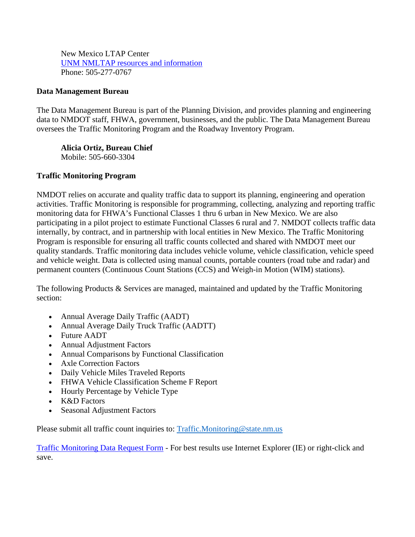New Mexico LTAP Center [UNM NMLTAP resources and information](http://ltap.unm.edu/) Phone: 505-277-0767

### **Data Management Bureau**

The Data Management Bureau is part of the Planning Division, and provides planning and engineering data to NMDOT staff, FHWA, government, businesses, and the public. The Data Management Bureau oversees the Traffic Monitoring Program and the Roadway Inventory Program.

**Alicia Ortiz, Bureau Chief** Mobile: 505-660-3304

## **Traffic Monitoring Program**

NMDOT relies on accurate and quality traffic data to support its planning, engineering and operation activities. Traffic Monitoring is responsible for programming, collecting, analyzing and reporting traffic monitoring data for FHWA's Functional Classes 1 thru 6 urban in New Mexico. We are also participating in a pilot project to estimate Functional Classes 6 rural and 7. NMDOT collects traffic data internally, by contract, and in partnership with local entities in New Mexico. The Traffic Monitoring Program is responsible for ensuring all traffic counts collected and shared with NMDOT meet our quality standards. Traffic monitoring data includes vehicle volume, vehicle classification, vehicle speed and vehicle weight. Data is collected using manual counts, portable counters (road tube and radar) and permanent counters (Continuous Count Stations (CCS) and Weigh-in Motion (WIM) stations).

The following Products & Services are managed, maintained and updated by the Traffic Monitoring section:

- Annual Average Daily Traffic (AADT)
- Annual Average Daily Truck Traffic (AADTT)
- Future AADT
- Annual Adjustment Factors
- Annual Comparisons by Functional Classification
- Axle Correction Factors
- Daily Vehicle Miles Traveled Reports
- FHWA Vehicle Classification Scheme F Report
- Hourly Percentage by Vehicle Type
- K&D Factors
- Seasonal Adjustment Factors

Please submit all traffic count inquiries to: [Traffic.Monitoring@state.nm.us](mailto:Traffic.Monitoring@state.nm.us)

[Traffic Monitoring Data Request Form](https://www.dot.state.nm.us/content/dam/nmdot/Data_Management/A-1273_traffic_monitoring_data_request.pdf) - For best results use Internet Explorer (IE) or right-click and save.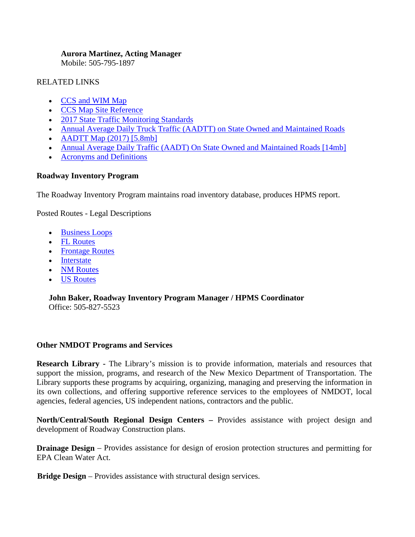#### **Aurora Martinez, Acting Manager**

Mobile: 505-795-1897

### RELATED LINKS

- [CCS and WIM Map](https://www.dot.state.nm.us/content/dam/nmdot/Data_Management/CCS-WIM_NM_sites.pdf)
- [CCS Map Site Reference](https://www.dot.state.nm.us/content/dam/nmdot/Data_Management/CCS_map_site_reference.xls)
- [2017 State Traffic Monitoring Standards](https://www.dot.state.nm.us/content/dam/nmdot/Data_Management/2017_State_Traffic_Monitoring_Standards.pdf)
- [Annual Average Daily Truck Traffic \(AADTT\) on State Owned and Maintained Roads](https://www.dot.state.nm.us/content/dam/nmdot/Data_Management/AADTT_Spreadsheet.pdf)
- AADTT Map  $(2017)$  [5.8mb]
- [Annual Average Daily Traffic \(AADT\) On State Owned and Maintained Roads \[14mb\]](https://www.dot.state.nm.us/content/dam/nmdot/Data_Management/TMP_AADT_Traffic_Flow_Maps.pdf)
- [Acronyms and Definitions](https://www.dot.state.nm.us/content/dam/nmdot/Traffic_Safety/AcronymsDefinitions.pdf)

## **Roadway Inventory Program**

The Roadway Inventory Program maintains road inventory database, produces HPMS report.

Posted Routes - Legal Descriptions

- [Business Loops](https://www.dot.state.nm.us/content/dam/nmdot/Data_Management/POSTED%20ROUTE-businessloops.pdf)
- [FL Routes](https://www.dot.state.nm.us/content/dam/nmdot/Data_Management/POSTED%20ROUTE-FL_routes.pdf)
- [Frontage Routes](https://www.dot.state.nm.us/content/dam/nmdot/Data_Management/POSTED%20ROUTE-frontage_roads.pdf)
- [Interstate](https://www.dot.state.nm.us/content/dam/nmdot/Data_Management/POSTED%20ROUTE-Interstate.pdf)
- [NM Routes](https://www.dot.state.nm.us/content/dam/nmdot/Data_Management/POSTED%20ROUTE-NM_Routes.pdf)
- [US Routes](https://www.dot.state.nm.us/content/dam/nmdot/Data_Management/POSTED%20ROUTE-us_routes.pdf)

#### **John Baker, Roadway Inventory Program Manager / HPMS Coordinator** Office: 505-827-5523

## **Other NMDOT Programs and Services**

**Research Library -** The Library's mission is to provide information, materials and resources that support the mission, programs, and research of the New Mexico Department of Transportation. The Library supports these programs by acquiring, organizing, managing and preserving the information in its own collections, and offering supportive reference services to the employees of NMDOT, local agencies, federal agencies, US independent nations, contractors and the public.

**North/Central/South Regional Design Centers –** Provides assistance with project design and development of Roadway Construction plans.

**Drainage Design** – Provides assistance for design of erosion protection structures and permitting for EPA Clean Water Act.

**Bridge Design** – Provides assistance with structural design services.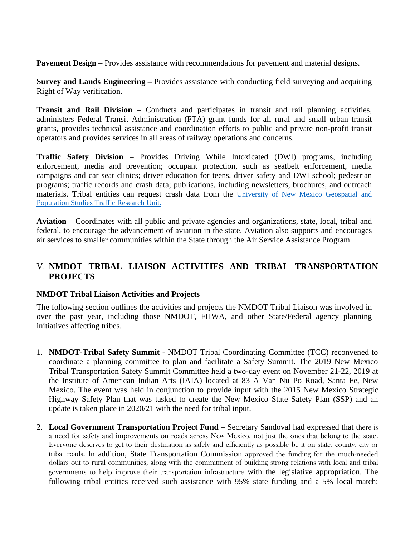**Pavement Design** – Provides assistance with recommendations for pavement and material designs.

**Survey and Lands Engineering –** Provides assistance with conducting field surveying and acquiring Right of Way verification.

**Transit and Rail Division** – Conducts and participates in transit and rail planning activities, administers Federal Transit Administration (FTA) grant funds for all rural and small urban transit grants, provides technical assistance and coordination efforts to public and private non-profit transit operators and provides services in all areas of railway operations and concerns.

**Traffic Safety Division** – Provides Driving While Intoxicated (DWI) programs, including enforcement, media and prevention; occupant protection, such as seatbelt enforcement, media campaigns and car seat clinics; driver education for teens, driver safety and DWI school; pedestrian programs; traffic records and crash data; publications, including newsletters, brochures, and outreach materials. Tribal entities can request crash data from the [University of New Mexico Geospatial and](https://tru.unm.edu/Request-Data/index.html)  [Population Studies Traffic Research Unit.](https://tru.unm.edu/Request-Data/index.html) 

**Aviation** – Coordinates with all public and private agencies and organizations, state, local, tribal and federal, to encourage the advancement of aviation in the state. Aviation also supports and encourages air services to smaller communities within the State through the Air Service Assistance Program.

# V. **NMDOT TRIBAL LIAISON ACTIVITIES AND TRIBAL TRANSPORTATION PROJECTS**

#### **NMDOT Tribal Liaison Activities and Projects**

The following section outlines the activities and projects the NMDOT Tribal Liaison was involved in over the past year, including those NMDOT, FHWA, and other State/Federal agency planning initiatives affecting tribes.

- 1. **NMDOT-Tribal Safety Summit** NMDOT Tribal Coordinating Committee (TCC) reconvened to coordinate a planning committee to plan and facilitate a Safety Summit. The 2019 New Mexico Tribal Transportation Safety Summit Committee held a two-day event on November 21-22, 2019 at the Institute of American Indian Arts (IAIA) located at 83 A Van Nu Po Road, Santa Fe, New Mexico. The event was held in conjunction to provide input with the 2015 New Mexico Strategic Highway Safety Plan that was tasked to create the New Mexico State Safety Plan (SSP) and an update is taken place in 2020/21 with the need for tribal input.
- 2. **Local Government Transportation Project Fund**  Secretary Sandoval had expressed that there is a need for safety and improvements on roads across New Mexico, not just the ones that belong to the state. Everyone deserves to get to their destination as safely and efficiently as possible be it on state, county, city or tribal roads. In addition, State Transportation Commission approved the funding for the much-needed dollars out to rural communities, along with the commitment of building strong relations with local and tribal governments to help improve their transportation infrastructure with the legislative appropriation. The following tribal entities received such assistance with 95% state funding and a 5% local match: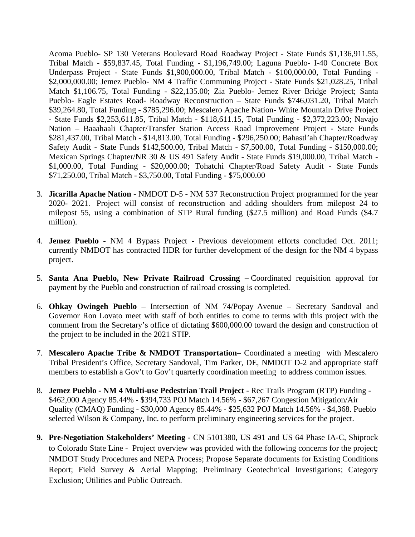Acoma Pueblo- SP 130 Veterans Boulevard Road Roadway Project - State Funds \$1,136,911.55, Tribal Match - \$59,837.45, Total Funding - \$1,196,749.00; Laguna Pueblo- I-40 Concrete Box Underpass Project - State Funds \$1,900,000.00, Tribal Match - \$100,000.00, Total Funding - \$2,000,000.00; Jemez Pueblo- NM 4 Traffic Communing Project - State Funds \$21,028.25, Tribal Match \$1,106.75, Total Funding - \$22,135.00; Zia Pueblo- Jemez River Bridge Project; Santa Pueblo- Eagle Estates Road- Roadway Reconstruction – State Funds \$746,031.20, Tribal Match \$39,264.80, Total Funding - \$785,296.00; Mescalero Apache Nation- White Mountain Drive Project - State Funds \$2,253,611.85, Tribal Match - \$118,611.15, Total Funding - \$2,372,223.00; Navajo Nation – Baaahaali Chapter/Transfer Station Access Road Improvement Project - State Funds \$281,437.00, Tribal Match - \$14,813.00, Total Funding - \$296,250.00; Bahastl'ah Chapter/Roadway Safety Audit - State Funds \$142,500.00, Tribal Match - \$7,500.00, Total Funding - \$150,000.00; Mexican Springs Chapter/NR 30 & US 491 Safety Audit - State Funds \$19,000.00, Tribal Match - \$1,000.00, Total Funding - \$20,000.00; Tohatchi Chapter/Road Safety Audit - State Funds \$71,250.00, Tribal Match - \$3,750.00, Total Funding - \$75,000.00

- 3. **Jicarilla Apache Nation -** NMDOT D-5 NM 537 Reconstruction Project programmed for the year 2020- 2021. Project will consist of reconstruction and adding shoulders from milepost 24 to milepost 55, using a combination of STP Rural funding (\$27.5 million) and Road Funds (\$4.7 million).
- 4. **Jemez Pueblo**  NM 4 Bypass Project Previous development efforts concluded Oct. 2011; currently NMDOT has contracted HDR for further development of the design for the NM 4 bypass project.
- 5. **Santa Ana Pueblo, New Private Railroad Crossing –** Coordinated requisition approval for payment by the Pueblo and construction of railroad crossing is completed.
- 6. **Ohkay Owingeh Pueblo**  Intersection of NM 74/Popay Avenue Secretary Sandoval and Governor Ron Lovato meet with staff of both entities to come to terms with this project with the comment from the Secretary's office of dictating \$600,000.00 toward the design and construction of the project to be included in the 2021 STIP.
- 7. **Mescalero Apache Tribe & NMDOT Transportation** Coordinated a meeting with Mescalero Tribal President's Office, Secretary Sandoval, Tim Parker, DE, NMDOT D-2 and appropriate staff members to establish a Gov't to Gov't quarterly coordination meeting to address common issues.
- 8. **Jemez Pueblo - NM 4 Multi-use Pedestrian Trail Project** Rec Trails Program (RTP) Funding \$462,000 Agency 85.44% - \$394,733 POJ Match 14.56% - \$67,267 Congestion Mitigation/Air Quality (CMAQ) Funding - \$30,000 Agency 85.44% - \$25,632 POJ Match 14.56% - \$4,368. Pueblo selected Wilson & Company, Inc. to perform preliminary engineering services for the project.
- **9. Pre-Negotiation Stakeholders' Meeting** CN 5101380, US 491 and US 64 Phase IA-C, Shiprock to Colorado State Line - Project overview was provided with the following concerns for the project; NMDOT Study Procedures and NEPA Process; Propose Separate documents for Existing Conditions Report; Field Survey & Aerial Mapping; Preliminary Geotechnical Investigations; Category Exclusion; Utilities and Public Outreach.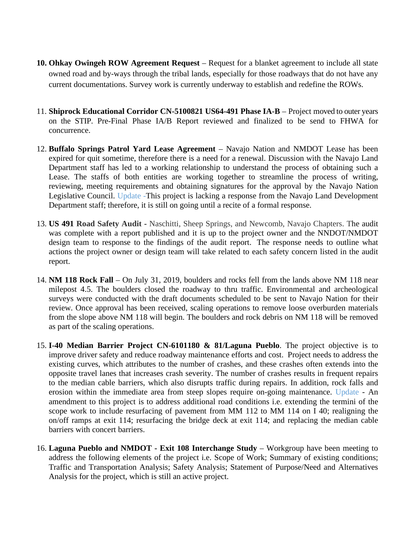- **10. Ohkay Owingeh ROW Agreement Request** Request for a blanket agreement to include all state owned road and by-ways through the tribal lands, especially for those roadways that do not have any current documentations. Survey work is currently underway to establish and redefine the ROWs.
- 11. **Shiprock Educational Corridor CN-5100821 US64-491 Phase IA-B**  Project moved to outer years on the STIP. Pre-Final Phase IA/B Report reviewed and finalized to be send to FHWA for concurrence.
- 12. **Buffalo Springs Patrol Yard Lease Agreement** Navajo Nation and NMDOT Lease has been expired for quit sometime, therefore there is a need for a renewal. Discussion with the Navajo Land Department staff has led to a working relationship to understand the process of obtaining such a Lease. The staffs of both entities are working together to streamline the process of writing, reviewing, meeting requirements and obtaining signatures for the approval by the Navajo Nation Legislative Council. Update -This project is lacking a response from the Navajo Land Development Department staff; therefore, it is still on going until a recite of a formal response.
- 13. **US 491 Road Safety Audit** Naschitti, Sheep Springs, and Newcomb, Navajo Chapters. The audit was complete with a report published and it is up to the project owner and the NNDOT/NMDOT design team to response to the findings of the audit report. The response needs to outline what actions the project owner or design team will take related to each safety concern listed in the audit report.
- 14. **NM 118 Rock Fall** On July 31, 2019, boulders and rocks fell from the lands above NM 118 near milepost 4.5. The boulders closed the roadway to thru traffic. Environmental and archeological surveys were conducted with the draft documents scheduled to be sent to Navajo Nation for their review. Once approval has been received, scaling operations to remove loose overburden materials from the slope above NM 118 will begin. The boulders and rock debris on NM 118 will be removed as part of the scaling operations.
- 15. **I-40 Median Barrier Project CN-6101180 & 81/Laguna Pueblo**. The project objective is to improve driver safety and reduce roadway maintenance efforts and cost. Project needs to address the existing curves, which attributes to the number of crashes, and these crashes often extends into the opposite travel lanes that increases crash severity. The number of crashes results in frequent repairs to the median cable barriers, which also disrupts traffic during repairs. In addition, rock falls and erosion within the immediate area from steep slopes require on-going maintenance. Update - An amendment to this project is to address additional road conditions i.e. extending the termini of the scope work to include resurfacing of pavement from MM 112 to MM 114 on I 40; realigning the on/off ramps at exit 114; resurfacing the bridge deck at exit 114; and replacing the median cable barriers with concert barriers.
- 16. **Laguna Pueblo and NMDOT - Exit 108 Interchange Study** Workgroup have been meeting to address the following elements of the project i.e. Scope of Work; Summary of existing conditions; Traffic and Transportation Analysis; Safety Analysis; Statement of Purpose/Need and Alternatives Analysis for the project, which is still an active project.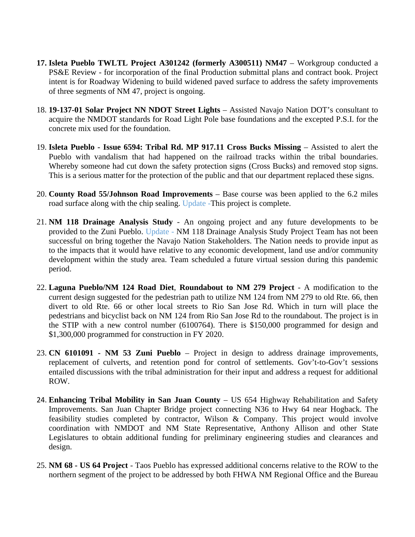- **17. Isleta Pueblo TWLTL Project A301242 (formerly A300511) NM47** Workgroup conducted a PS&E Review - for incorporation of the final Production submittal plans and contract book. Project intent is for Roadway Widening to build widened paved surface to address the safety improvements of three segments of NM 47, project is ongoing.
- 18. **19-137-01 Solar Project NN NDOT Street Lights** Assisted Navajo Nation DOT's consultant to acquire the NMDOT standards for Road Light Pole base foundations and the excepted P.S.I. for the concrete mix used for the foundation.
- 19. **Isleta Pueblo - Issue 6594: Tribal Rd. MP 917.11 Cross Bucks Missing**  Assisted to alert the Pueblo with vandalism that had happened on the railroad tracks within the tribal boundaries. Whereby someone had cut down the safety protection signs (Cross Bucks) and removed stop signs. This is a serious matter for the protection of the public and that our department replaced these signs.
- 20. **County Road 55/Johnson Road Improvements** Base course was been applied to the 6.2 miles road surface along with the chip sealing. Update -This project is complete.
- 21. **NM 118 Drainage Analysis Study** An ongoing project and any future developments to be provided to the Zuni Pueblo. Update - NM 118 Drainage Analysis Study Project Team has not been successful on bring together the Navajo Nation Stakeholders. The Nation needs to provide input as to the impacts that it would have relative to any economic development, land use and/or community development within the study area. Team scheduled a future virtual session during this pandemic period.
- 22. **Laguna Pueblo/NM 124 Road Diet**, **Roundabout to NM 279 Project**  A modification to the current design suggested for the pedestrian path to utilize NM 124 from NM 279 to old Rte. 66, then divert to old Rte. 66 or other local streets to Rio San Jose Rd. Which in turn will place the pedestrians and bicyclist back on NM 124 from Rio San Jose Rd to the roundabout. The project is in the STIP with a new control number (6100764). There is \$150,000 programmed for design and \$1,300,000 programmed for construction in FY 2020.
- 23. **CN 6101091 - NM 53 Zuni Pueblo** Project in design to address drainage improvements, replacement of culverts, and retention pond for control of settlements. Gov't-to-Gov't sessions entailed discussions with the tribal administration for their input and address a request for additional ROW.
- 24. **Enhancing Tribal Mobility in San Juan County US 654 Highway Rehabilitation and Safety** Improvements. San Juan Chapter Bridge project connecting N36 to Hwy 64 near Hogback. The feasibility studies completed by contractor, Wilson & Company. This project would involve coordination with NMDOT and NM State Representative, Anthony Allison and other State Legislatures to obtain additional funding for preliminary engineering studies and clearances and design.
- 25. **NM 68 - US 64 Project** Taos Pueblo has expressed additional concerns relative to the ROW to the northern segment of the project to be addressed by both FHWA NM Regional Office and the Bureau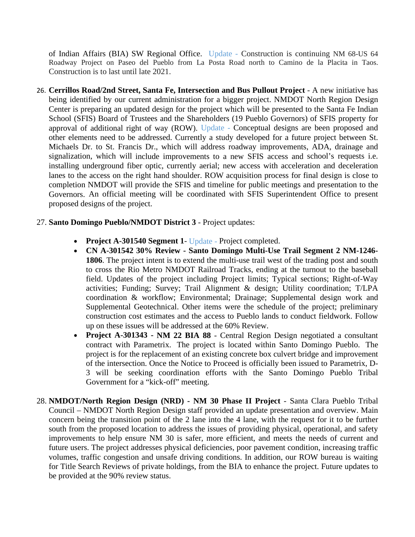of Indian Affairs (BIA) SW Regional Office. Update - Construction is continuing NM 68-US 64 Roadway Project on Paseo del Pueblo from La Posta Road north to Camino de la Placita in Taos. Construction is to last until late 2021.

26. **Cerrillos Road/2nd Street, Santa Fe, Intersection and Bus Pullout Project** - A new initiative has being identified by our current administration for a bigger project. NMDOT North Region Design Center is preparing an updated design for the project which will be presented to the Santa Fe Indian School (SFIS) Board of Trustees and the Shareholders (19 Pueblo Governors) of SFIS property for approval of additional right of way (ROW). Update - Conceptual designs are been proposed and other elements need to be addressed. Currently a study developed for a future project between St. Michaels Dr. to St. Francis Dr., which will address roadway improvements, ADA, drainage and signalization, which will include improvements to a new SFIS access and school's requests i.e. installing underground fiber optic, currently aerial; new access with acceleration and deceleration lanes to the access on the right hand shoulder. ROW acquisition process for final design is close to completion NMDOT will provide the SFIS and timeline for public meetings and presentation to the Governors. An official meeting will be coordinated with SFIS Superintendent Office to present proposed designs of the project.

#### 27. **Santo Domingo Pueblo/NMDOT District 3** - Project updates:

- **Project A-301540 Segment 1** Update Project completed.
- **CN A-301542 30% Review - Santo Domingo Multi-Use Trail Segment 2 NM-1246- 1806**. The project intent is to extend the multi-use trail west of the trading post and south to cross the Rio Metro NMDOT Railroad Tracks, ending at the turnout to the baseball field. Updates of the project including Project limits; Typical sections; Right-of-Way activities; Funding; Survey; Trail Alignment & design; Utility coordination; T/LPA coordination & workflow; Environmental; Drainage; Supplemental design work and Supplemental Geotechnical. Other items were the schedule of the project; preliminary construction cost estimates and the access to Pueblo lands to conduct fieldwork. Follow up on these issues will be addressed at the 60% Review.
- **Project A-301343 - NM 22 BIA 88** Central Region Design negotiated a consultant contract with Parametrix. The project is located within Santo Domingo Pueblo. The project is for the replacement of an existing concrete box culvert bridge and improvement of the intersection. Once the Notice to Proceed is officially been issued to Parametrix, D-3 will be seeking coordination efforts with the Santo Domingo Pueblo Tribal Government for a "kick-off" meeting.
- 28. **NMDOT/North Region Design (NRD) - NM 30 Phase II Project** Santa Clara Pueblo Tribal Council – NMDOT North Region Design staff provided an update presentation and overview. Main concern being the transition point of the 2 lane into the 4 lane, with the request for it to be further south from the proposed location to address the issues of providing physical, operational, and safety improvements to help ensure NM 30 is safer, more efficient, and meets the needs of current and future users. The project addresses physical deficiencies, poor pavement condition, increasing traffic volumes, traffic congestion and unsafe driving conditions. In addition, our ROW bureau is waiting for Title Search Reviews of private holdings, from the BIA to enhance the project. Future updates to be provided at the 90% review status.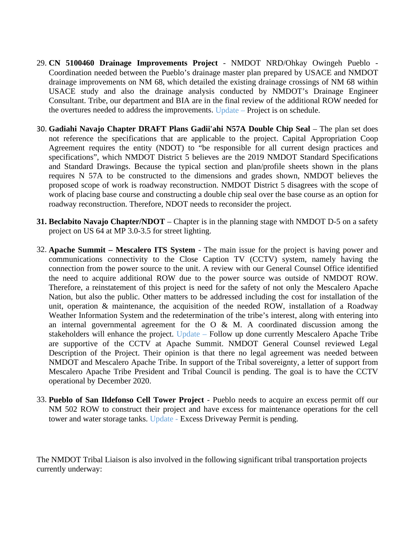- 29. **CN 5100460 Drainage Improvements Project** NMDOT NRD/Ohkay Owingeh Pueblo Coordination needed between the Pueblo's drainage master plan prepared by USACE and NMDOT drainage improvements on NM 68, which detailed the existing drainage crossings of NM 68 within USACE study and also the drainage analysis conducted by NMDOT's Drainage Engineer Consultant. Tribe, our department and BIA are in the final review of the additional ROW needed for the overtures needed to address the improvements. Update – Project is on schedule.
- 30. **Gadiahi Navajo Chapter DRAFT Plans Gadii'ahi N57A Double Chip Seal**  The plan set does not reference the specifications that are applicable to the project. Capital Appropriation Coop Agreement requires the entity (NDOT) to "be responsible for all current design practices and specifications", which NMDOT District 5 believes are the 2019 NMDOT Standard Specifications and Standard Drawings. Because the typical section and plan/profile sheets shown in the plans requires N 57A to be constructed to the dimensions and grades shown, NMDOT believes the proposed scope of work is roadway reconstruction. NMDOT District 5 disagrees with the scope of work of placing base course and constructing a double chip seal over the base course as an option for roadway reconstruction. Therefore, NDOT needs to reconsider the project.
- **31. Beclabito Navajo Chapter/NDOT**  Chapter is in the planning stage with NMDOT D-5 on a safety project on US 64 at MP 3.0-3.5 for street lighting.
- 32. **Apache Summit – Mescalero ITS System** The main issue for the project is having power and communications connectivity to the Close Caption TV (CCTV) system, namely having the connection from the power source to the unit. A review with our General Counsel Office identified the need to acquire additional ROW due to the power source was outside of NMDOT ROW. Therefore, a reinstatement of this project is need for the safety of not only the Mescalero Apache Nation, but also the public. Other matters to be addressed including the cost for installation of the unit, operation & maintenance, the acquisition of the needed ROW, installation of a Roadway Weather Information System and the redetermination of the tribe's interest, along with entering into an internal governmental agreement for the  $O \& M$ . A coordinated discussion among the stakeholders will enhance the project. Update – Follow up done currently Mescalero Apache Tribe are supportive of the CCTV at Apache Summit. NMDOT General Counsel reviewed Legal Description of the Project. Their opinion is that there no legal agreement was needed between NMDOT and Mescalero Apache Tribe. In support of the Tribal sovereignty, a letter of support from Mescalero Apache Tribe President and Tribal Council is pending. The goal is to have the CCTV operational by December 2020.
- 33. **Pueblo of San Ildefonso Cell Tower Project** Pueblo needs to acquire an excess permit off our NM 502 ROW to construct their project and have excess for maintenance operations for the cell tower and water storage tanks. Update - Excess Driveway Permit is pending.

The NMDOT Tribal Liaison is also involved in the following significant tribal transportation projects currently underway: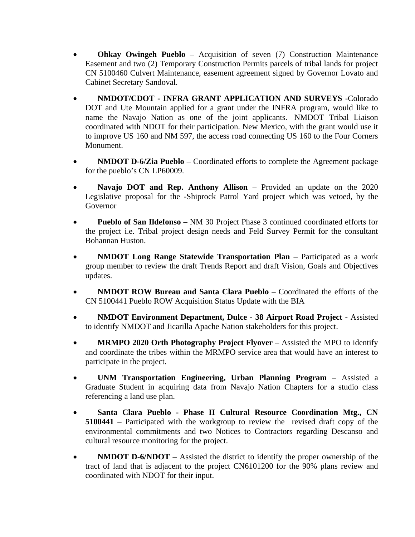- **Ohkay Owingeh Pueblo**  Acquisition of seven (7) Construction Maintenance Easement and two (2) Temporary Construction Permits parcels of tribal lands for project CN 5100460 Culvert Maintenance, easement agreement signed by Governor Lovato and Cabinet Secretary Sandoval.
- **NMDOT/CDOT - INFRA GRANT APPLICATION AND SURVEYS** -Colorado DOT and Ute Mountain applied for a grant under the INFRA program, would like to name the Navajo Nation as one of the joint applicants. NMDOT Tribal Liaison coordinated with NDOT for their participation. New Mexico, with the grant would use it to improve US 160 and NM 597, the access road connecting US 160 to the Four Corners Monument.
- **NMDOT D-6/Zia Pueblo** Coordinated efforts to complete the Agreement package for the pueblo's CN LP60009.
- **Navajo DOT and Rep. Anthony Allison** Provided an update on the 2020 Legislative proposal for the -Shiprock Patrol Yard project which was vetoed, by the Governor
- **Pueblo of San Ildefonso** NM 30 Project Phase 3 continued coordinated efforts for the project i.e. Tribal project design needs and Feld Survey Permit for the consultant Bohannan Huston.
- **NMDOT Long Range Statewide Transportation Plan** Participated as a work group member to review the draft Trends Report and draft Vision, Goals and Objectives updates.
- **NMDOT ROW Bureau and Santa Clara Pueblo** Coordinated the efforts of the CN 5100441 Pueblo ROW Acquisition Status Update with the BIA
- **NMDOT Environment Department, Dulce - 38 Airport Road Project -** Assisted to identify NMDOT and Jicarilla Apache Nation stakeholders for this project.
- **MRMPO 2020 Orth Photography Project Flyover** Assisted the MPO to identify and coordinate the tribes within the MRMPO service area that would have an interest to participate in the project.
- **UNM Transportation Engineering, Urban Planning Program**  Assisted a Graduate Student in acquiring data from Navajo Nation Chapters for a studio class referencing a land use plan.
- **Santa Clara Pueblo - Phase II Cultural Resource Coordination Mtg., CN 5100441** – Participated with the workgroup to review the revised draft copy of the environmental commitments and two Notices to Contractors regarding Descanso and cultural resource monitoring for the project.
- **NMDOT D-6/NDOT** Assisted the district to identify the proper ownership of the tract of land that is adjacent to the project CN6101200 for the 90% plans review and coordinated with NDOT for their input.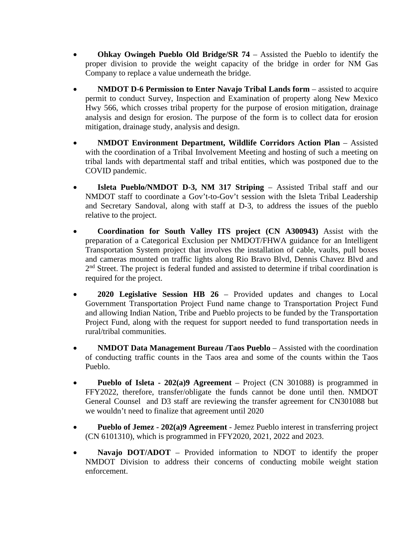- **Ohkay Owingeh Pueblo Old Bridge/SR 74**  Assisted the Pueblo to identify the proper division to provide the weight capacity of the bridge in order for NM Gas Company to replace a value underneath the bridge.
- **NMDOT D-6 Permission to Enter Navajo Tribal Lands form** assisted to acquire permit to conduct Survey, Inspection and Examination of property along New Mexico Hwy 566, which crosses tribal property for the purpose of erosion mitigation, drainage analysis and design for erosion. The purpose of the form is to collect data for erosion mitigation, drainage study, analysis and design.
- **NMDOT Environment Department, Wildlife Corridors Action Plan** Assisted with the coordination of a Tribal Involvement Meeting and hosting of such a meeting on tribal lands with departmental staff and tribal entities, which was postponed due to the COVID pandemic.
- **Isleta Pueblo/NMDOT D-3, NM 317 Striping** Assisted Tribal staff and our NMDOT staff to coordinate a Gov't-to-Gov't session with the Isleta Tribal Leadership and Secretary Sandoval, along with staff at D-3, to address the issues of the pueblo relative to the project.
- **Coordination for South Valley ITS project (CN A300943)** Assist with the preparation of a Categorical Exclusion per NMDOT/FHWA guidance for an Intelligent Transportation System project that involves the installation of cable, vaults, pull boxes and cameras mounted on traffic lights along Rio Bravo Blvd, Dennis Chavez Blvd and 2<sup>nd</sup> Street. The project is federal funded and assisted to determine if tribal coordination is required for the project.
- **2020 Legislative Session HB 26**  Provided updates and changes to Local Government Transportation Project Fund name change to Transportation Project Fund and allowing Indian Nation, Tribe and Pueblo projects to be funded by the Transportation Project Fund, along with the request for support needed to fund transportation needs in rural/tribal communities.
- **NMDOT Data Management Bureau /Taos Pueblo** Assisted with the coordination of conducting traffic counts in the Taos area and some of the counts within the Taos Pueblo.
- **Pueblo of Isleta - 202(a)9 Agreement**  Project (CN 301088) is programmed in FFY2022, therefore, transfer/obligate the funds cannot be done until then. NMDOT General Counsel and D3 staff are reviewing the transfer agreement for CN301088 but we wouldn't need to finalize that agreement until 2020
- **Pueblo of Jemez - 202(a)9 Agreement** Jemez Pueblo interest in transferring project (CN 6101310), which is programmed in FFY2020, 2021, 2022 and 2023.
- **Navajo DOT/ADOT** Provided information to NDOT to identify the proper NMDOT Division to address their concerns of conducting mobile weight station enforcement.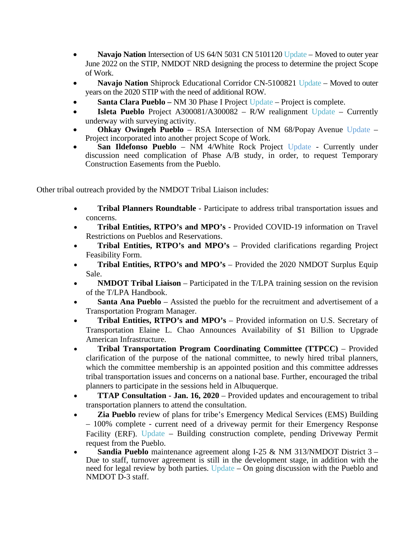- **Navajo Nation** Intersection of US 64/N 5031 CN 5101120 Update Moved to outer year June 2022 on the STIP, NMDOT NRD designing the process to determine the project Scope of Work.
- **Navajo Nation** Shiprock Educational Corridor CN-5100821 Update Moved to outer years on the 2020 STIP with the need of additional ROW.
- **Santa Clara Pueblo –** NM 30 Phase I Project Update Project is complete.
- **Isleta Pueblo** Project A300081/A300082 R/W realignment Update Currently underway with surveying activity.
- **Ohkay Owingeh Pueblo**  RSA Intersection of NM 68/Popay Avenue Update Project incorporated into another project Scope of Work.
- **San Ildefonso Pueblo** NM 4/White Rock Project Update Currently under discussion need complication of Phase A/B study, in order, to request Temporary Construction Easements from the Pueblo.

Other tribal outreach provided by the NMDOT Tribal Liaison includes:

- **Tribal Planners Roundtable** Participate to address tribal transportation issues and concerns.
- **Tribal Entities, RTPO's and MPO's -** Provided COVID-19 information on Travel Restrictions on Pueblos and Reservations.
- **Tribal Entities, RTPO's and MPO's** Provided clarifications regarding Project Feasibility Form.
- **Tribal Entities, RTPO's and MPO's** Provided the 2020 NMDOT Surplus Equip Sale.
- **NMDOT Tribal Liaison** Participated in the T/LPA training session on the revision of the T/LPA Handbook.
- **Santa Ana Pueblo**  Assisted the pueblo for the recruitment and advertisement of a Transportation Program Manager.
- **Tribal Entities, RTPO's and MPO's**  Provided information on U.S. Secretary of Transportation Elaine L. Chao Announces Availability of \$1 Billion to Upgrade American Infrastructure.
- **Tribal Transportation Program Coordinating Committee (TTPCC)**  Provided clarification of the purpose of the national committee, to newly hired tribal planners, which the committee membership is an appointed position and this committee addresses tribal transportation issues and concerns on a national base. Further, encouraged the tribal planners to participate in the sessions held in Albuquerque.
- **TTAP Consultation Jan. 16, 2020** Provided updates and encouragement to tribal transportation planners to attend the consultation.
- **Zia Pueblo** review of plans for tribe's Emergency Medical Services (EMS) Building – 100% complete - current need of a driveway permit for their Emergency Response Facility (ERF). Update – Building construction complete, pending Driveway Permit request from the Pueblo.
- **Sandia Pueblo** maintenance agreement along I-25 & NM 313/NMDOT District 3 Due to staff, turnover agreement is still in the development stage, in addition with the need for legal review by both parties. Update – On going discussion with the Pueblo and NMDOT D-3 staff.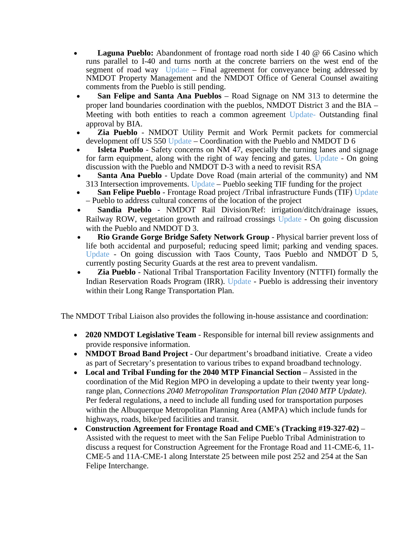- **Laguna Pueblo:** Abandonment of frontage road north side I 40 @ 66 Casino which runs parallel to I-40 and turns north at the concrete barriers on the west end of the segment of road way Update – Final agreement for conveyance being addressed by NMDOT Property Management and the NMDOT Office of General Counsel awaiting comments from the Pueblo is still pending.
- **San Felipe and Santa Ana Pueblos**  Road Signage on NM 313 to determine the proper land boundaries coordination with the pueblos, NMDOT District 3 and the BIA – Meeting with both entities to reach a common agreement Update- Outstanding final approval by BIA.
- **Zia Pueblo**  NMDOT Utility Permit and Work Permit packets for commercial development off US 550 Update – Coordination with the Pueblo and NMDOT D 6
- **Isleta Pueblo** Safety concerns on NM 47, especially the turning lanes and signage for farm equipment, along with the right of way fencing and gates. Update - On going discussion with the Pueblo and NMDOT D-3 with a need to revisit RSA
- **Santa Ana Pueblo**  Update Dove Road (main arterial of the community) and NM 313 Intersection improvements. Update – Pueblo seeking TIF funding for the project
- **San Felipe Pueblo**  Frontage Road project /Tribal infrastructure Funds (TIF) Update – Pueblo to address cultural concerns of the location of the project
- **Sandia Pueblo**  NMDOT Rail Division/Ref: irrigation/ditch/drainage issues, Railway ROW, vegetation growth and railroad crossings Update - On going discussion with the Pueblo and NMDOT D 3.
- **Rio Grande Gorge Bridge Safety Network Group**  Physical barrier prevent loss of life both accidental and purposeful; reducing speed limit; parking and vending spaces. Update - On going discussion with Taos County, Taos Pueblo and NMDOT D 5, currently posting Security Guards at the rest area to prevent vandalism.
- **Zia Pueblo**  National Tribal Transportation Facility Inventory (NTTFI) formally the Indian Reservation Roads Program (IRR). Update - Pueblo is addressing their inventory within their Long Range Transportation Plan.

The NMDOT Tribal Liaison also provides the following in-house assistance and coordination:

- **2020 NMDOT Legislative Team** Responsible for internal bill review assignments and provide responsive information.
- **NMDOT Broad Band Project**  Our department's broadband initiative. Create a video as part of Secretary's presentation to various tribes to expand broadband technology.
- Local and Tribal Funding for the 2040 MTP Financial Section Assisted in the coordination of the Mid Region MPO in developing a update to their twenty year longrange plan, *Connections 2040 Metropolitan Transportation Plan (2040 MTP Update)*. Per federal regulations, a need to include all funding used for transportation purposes within the Albuquerque Metropolitan Planning Area (AMPA) which include funds for highways, roads, bike/ped facilities and transit.
- **Construction Agreement for Frontage Road and CME's (Tracking #19-327-02)**  Assisted with the request to meet with the San Felipe Pueblo Tribal Administration to discuss a request for Construction Agreement for the Frontage Road and 11-CME-6, 11- CME-5 and 11A-CME-1 along Interstate 25 between mile post 252 and 254 at the San Felipe Interchange.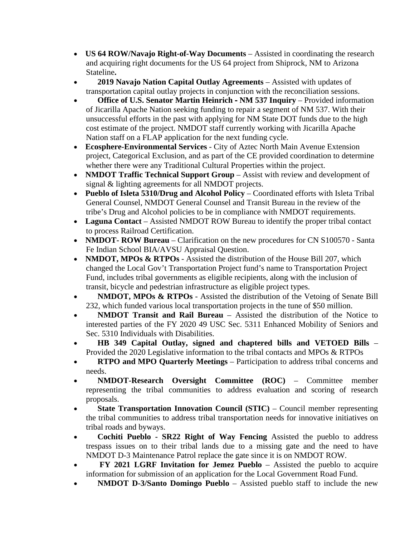- **US 64 ROW/Navajo Right-of-Way Documents** Assisted in coordinating the research and acquiring right documents for the US 64 project from Shiprock, NM to Arizona Stateline**.**
- **2019 Navajo Nation Capital Outlay Agreements** Assisted with updates of transportation capital outlay projects in conjunction with the reconciliation sessions.
- **Office of U.S. Senator Martin Heinrich - NM 537 Inquiry**  Provided information of Jicarilla Apache Nation seeking funding to repair a segment of NM 537. With their unsuccessful efforts in the past with applying for NM State DOT funds due to the high cost estimate of the project. NMDOT staff currently working with Jicarilla Apache Nation staff on a FLAP application for the next funding cycle.
- **Ecosphere-Environmental Services** City of Aztec North Main Avenue Extension project, Categorical Exclusion, and as part of the CE provided coordination to determine whether there were any Traditional Cultural Properties within the project.
- **NMDOT Traffic Technical Support Group** Assist with review and development of signal & lighting agreements for all NMDOT projects.
- **Pueblo of Isleta 5310/Drug and Alcohol Policy** Coordinated efforts with Isleta Tribal General Counsel, NMDOT General Counsel and Transit Bureau in the review of the tribe's Drug and Alcohol policies to be in compliance with NMDOT requirements.
- **Laguna Contact** Assisted NMDOT ROW Bureau to identify the proper tribal contact to process Railroad Certification.
- **NMDOT-ROW Bureau** Clarification on the new procedures for CN S100570 Santa Fe Indian School BIA/AVSU Appraisal Question.
- **NMDOT, MPOs & RTPOs** Assisted the distribution of the House Bill 207, which changed the Local Gov't Transportation Project fund's name to Transportation Project Fund, includes tribal governments as eligible recipients, along with the inclusion of transit, bicycle and pedestrian infrastructure as eligible project types.
- **NMDOT, MPOs & RTPOs** Assisted the distribution of the Vetoing of Senate Bill 232, which funded various local transportation projects in the tune of \$50 million.
- **NMDOT Transit and Rail Bureau** Assisted the distribution of the Notice to interested parties of the FY 2020 49 USC Sec. 5311 Enhanced Mobility of Seniors and Sec. 5310 Individuals with Disabilities.
- **HB 349 Capital Outlay, signed and chaptered bills and VETOED Bills** Provided the 2020 Legislative information to the tribal contacts and MPOs & RTPOs
- **RTPO and MPO Quarterly Meetings** Participation to address tribal concerns and needs.
- **NMDOT-Research Oversight Committee (ROC)**  Committee member representing the tribal communities to address evaluation and scoring of research proposals.
- **State Transportation Innovation Council (STIC)** Council member representing the tribal communities to address tribal transportation needs for innovative initiatives on tribal roads and byways.
- **Cochiti Pueblo - SR22 Right of Way Fencing** Assisted the pueblo to address trespass issues on to their tribal lands due to a missing gate and the need to have NMDOT D-3 Maintenance Patrol replace the gate since it is on NMDOT ROW.
- **FY 2021 LGRF Invitation for Jemez Pueblo** Assisted the pueblo to acquire information for submission of an application for the Local Government Road Fund.
- **NMDOT D-3/Santo Domingo Pueblo**  Assisted pueblo staff to include the new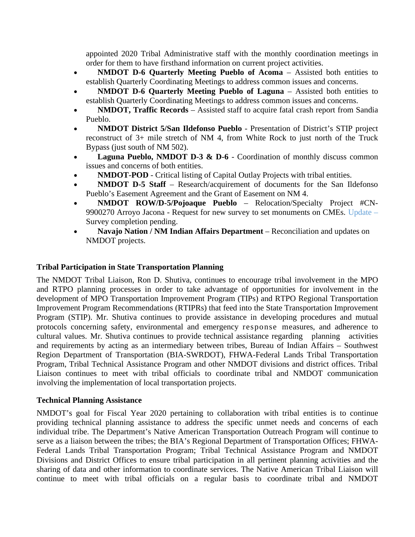appointed 2020 Tribal Administrative staff with the monthly coordination meetings in order for them to have firsthand information on current project activities.

- **NMDOT D-6 Quarterly Meeting Pueblo of Acoma** Assisted both entities to establish Quarterly Coordinating Meetings to address common issues and concerns.
- **NMDOT D-6 Quarterly Meeting Pueblo of Laguna** Assisted both entities to establish Quarterly Coordinating Meetings to address common issues and concerns.
- **NMDOT, Traffic Records**  Assisted staff to acquire fatal crash report from Sandia Pueblo.
- **NMDOT District 5/San Ildefonso Pueblo**  Presentation of District's STIP project reconstruct of 3+ mile stretch of NM 4, from White Rock to just north of the Truck Bypass (just south of NM 502).
- **Laguna Pueblo, NMDOT D-3 & D-6** Coordination of monthly discuss common issues and concerns of both entities.
- **NMDOT-POD**  Critical listing of Capital Outlay Projects with tribal entities.
- **NMDOT D-5 Staff** Research/acquirement of documents for the San Ildefonso Pueblo's Easement Agreement and the Grant of Easement on NM 4.
- **NMDOT ROW/D-5/Pojoaque Pueblo**  Relocation/Specialty Project #CN-9900270 Arroyo Jacona - Request for new survey to set monuments on CMEs. Update – Survey completion pending.
- **Navajo Nation / NM Indian Affairs Department** Reconciliation and updates on NMDOT projects.

## **Tribal Participation in State Transportation Planning**

The NMDOT Tribal Liaison, Ron D. Shutiva, continues to encourage tribal involvement in the MPO and RTPO planning processes in order to take advantage of opportunities for involvement in the development of MPO Transportation Improvement Program (TIPs) and RTPO Regional Transportation Improvement Program Recommendations (RTIPRs) that feed into the State Transportation Improvement Program (STIP). Mr. Shutiva continues to provide assistance in developing procedures and mutual protocols concerning safety, environmental and emergency response measures, and adherence to cultural values. Mr. Shutiva continues to provide technical assistance regarding planning activities and requirements by acting as an intermediary between tribes, Bureau of Indian Affairs – Southwest Region Department of Transportation (BIA-SWRDOT), FHWA-Federal Lands Tribal Transportation Program, Tribal Technical Assistance Program and other NMDOT divisions and district offices. Tribal Liaison continues to meet with tribal officials to coordinate tribal and NMDOT communication involving the implementation of local transportation projects.

#### **Technical Planning Assistance**

NMDOT's goal for Fiscal Year 2020 pertaining to collaboration with tribal entities is to continue providing technical planning assistance to address the specific unmet needs and concerns of each individual tribe. The Department's Native American Transportation Outreach Program will continue to serve as a liaison between the tribes; the BIA's Regional Department of Transportation Offices; FHWA-Federal Lands Tribal Transportation Program; Tribal Technical Assistance Program and NMDOT Divisions and District Offices to ensure tribal participation in all pertinent planning activities and the sharing of data and other information to coordinate services. The Native American Tribal Liaison will continue to meet with tribal officials on a regular basis to coordinate tribal and NMDOT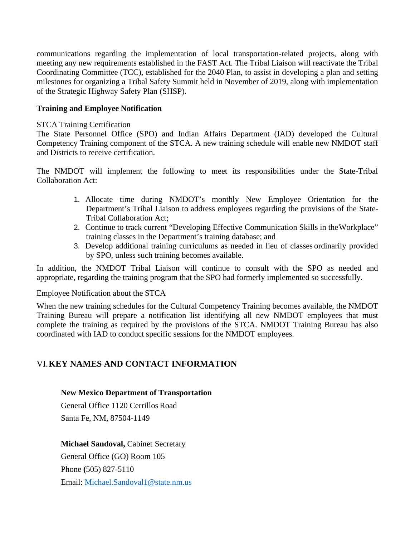communications regarding the implementation of local transportation-related projects, along with meeting any new requirements established in the FAST Act. The Tribal Liaison will reactivate the Tribal Coordinating Committee (TCC), established for the 2040 Plan, to assist in developing a plan and setting milestones for organizing a Tribal Safety Summit held in November of 2019, along with implementation of the Strategic Highway Safety Plan (SHSP).

#### **Training and Employee Notification**

#### STCA Training Certification

The State Personnel Office (SPO) and Indian Affairs Department (IAD) developed the Cultural Competency Training component of the STCA. A new training schedule will enable new NMDOT staff and Districts to receive certification.

The NMDOT will implement the following to meet its responsibilities under the State-Tribal Collaboration Act:

- 1. Allocate time during NMDOT's monthly New Employee Orientation for the Department's Tribal Liaison to address employees regarding the provisions of the State-Tribal Collaboration Act;
- 2. Continue to track current "Developing Effective Communication Skills in theWorkplace" training classes in the Department's training database; and
- 3. Develop additional training curriculums as needed in lieu of classes ordinarily provided by SPO, unless such training becomes available.

In addition, the NMDOT Tribal Liaison will continue to consult with the SPO as needed and appropriate, regarding the training program that the SPO had formerly implemented so successfully.

#### Employee Notification about the STCA

When the new training schedules for the Cultural Competency Training becomes available, the NMDOT Training Bureau will prepare a notification list identifying all new NMDOT employees that must complete the training as required by the provisions of the STCA. NMDOT Training Bureau has also coordinated with IAD to conduct specific sessions for the NMDOT employees.

## VI.**KEY NAMES AND CONTACT INFORMATION**

#### **New Mexico Department of Transportation**

General Office 1120 Cerrillos Road Santa Fe, NM, 87504-1149

#### **Michael Sandoval,** Cabinet Secretary

General Office (GO) Room 105 Phone **(**505) 827-5110 Email: [Michael.Sandoval1@state.nm.us](mailto:Michael.Sandoval1@state.nm.us)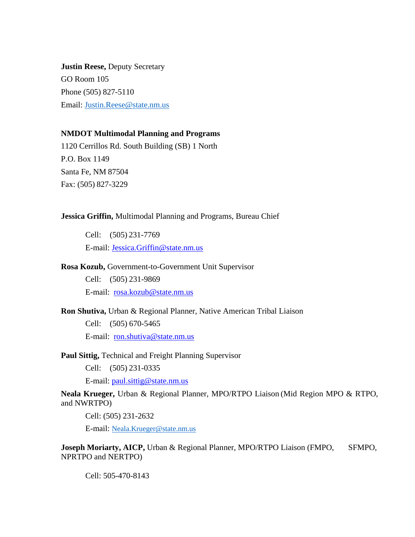**Justin Reese,** Deputy Secretary GO Room 105 Phone (505) 827-5110 Email: [Justin.Reese@state.nm.us](mailto:Justin.Reese@state.nm.us)

#### **NMDOT Multimodal Planning and Programs**

1120 Cerrillos Rd. South Building (SB) 1 North P.O. Box 1149 Santa Fe, NM 87504 Fax: (505) 827-3229

#### **Jessica Griffin,** Multimodal Planning and Programs, Bureau Chief

Cell: (505) 231-7769 E-mail: [Jessica.Griffin@state.nm.us](mailto:Jessica.Griffin@state.nm.us)

#### **Rosa Kozub,** Government-to-Government Unit Supervisor

Cell: (505) 231-9869 E-mail: [rosa.kozub@state.nm.us](mailto:rosa.kozub@state.nm.us)

#### **Ron Shutiva,** Urban & Regional Planner, Native American Tribal Liaison

Cell: (505) 670-5465 E-mail: [ron.shutiva@state.nm.us](mailto:ron.shutiva@state.nm.us)

#### **Paul Sittig,** Technical and Freight Planning Supervisor

Cell: (505) 231-0335

E-mail: [paul.sittig@state.nm.us](mailto:paul.sittig@state.nm.us)

**Neala Krueger,** Urban & Regional Planner, MPO/RTPO Liaison (Mid Region MPO & RTPO, and NWRTPO)

Cell: (505) 231-2632

E-mail: [Neala.Krueger@state.nm.us](mailto:Neala.Krueger@state.nm.us)

**Joseph Moriarty, AICP, Urban & Regional Planner, MPO/RTPO Liaison (FMPO, SFMPO,** NPRTPO and NERTPO)

Cell: 505-470-8143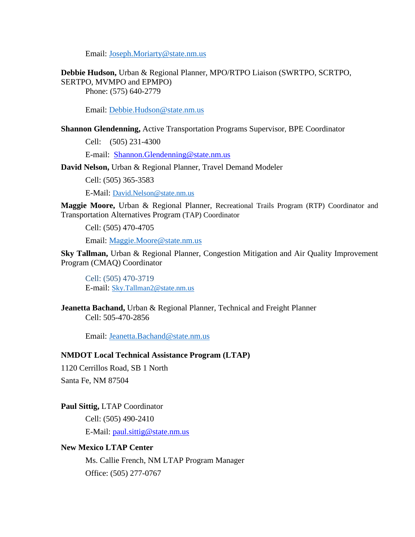Email: [Joseph.Moriarty@state.nm.us](mailto:Joseph.Moriarty@state.nm.us)

**Debbie Hudson,** Urban & Regional Planner, MPO/RTPO Liaison (SWRTPO, SCRTPO, SERTPO, MVMPO and EPMPO)

Phone: (575) 640-2779

Email: [Debbie.Hudson@state.nm.us](mailto:Debbie.Hudson@state.nm.us)

**Shannon Glendenning,** Active Transportation Programs Supervisor, BPE Coordinator

Cell: (505) 231-4300

E-mail: [Shannon.Glendenning@state.nm.us](mailto:Shannon.Glendenning@state.nm.us)

**David Nelson,** Urban & Regional Planner, Travel Demand Modeler

Cell: (505) 365-3583

E-Mail: [David.Nelson@state.nm.us](mailto:David.Nelson@state.nm.us)

**Maggie Moore,** Urban & Regional Planner, Recreational Trails Program (RTP) Coordinator and Transportation Alternatives Program (TAP) Coordinator

Cell: (505) 470-4705

Email: [Maggie.Moore@state.nm.us](mailto:Maggie.Moore@state.nm.us)

**Sky Tallman,** Urban & Regional Planner, Congestion Mitigation and Air Quality Improvement Program (CMAQ) Coordinator

Cell: (505) 470-3719 E-mail: [Sky.Tallman2@state.nm.us](mailto:Sky.Tallman2@state.nm.us)

**Jeanetta Bachand,** Urban & Regional Planner, Technical and Freight Planner Cell: 505-470-2856

Email: [Jeanetta.Bachand@state.nm.us](mailto:Jeanetta.Bachand@state.nm.us)

#### **NMDOT Local Technical Assistance Program (LTAP)**

1120 Cerrillos Road, SB 1 North Santa Fe, NM 87504

**Paul Sittig,** LTAP Coordinator Cell: (505) 490-2410 E-Mail: [paul.sittig@state.nm.us](mailto:paul.sittig@state.nm.us)

#### **New Mexico LTAP Center**

Ms. Callie French, NM LTAP Program Manager Office: (505) 277-0767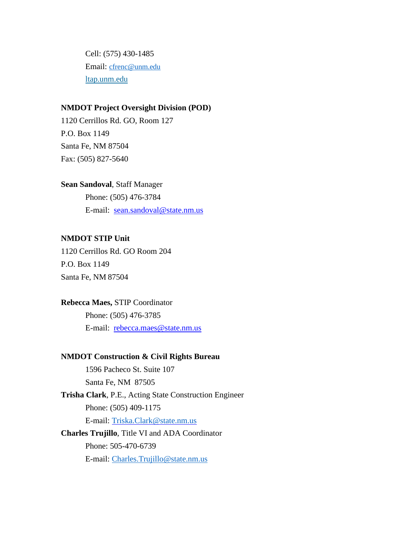Cell: (575) 430-1485 Email: [cfrenc@unm.edu](mailto:cfrenc@unm.edu) [ltap.unm.edu](mailto:LTAP@UNM.edu)

#### **NMDOT Project Oversight Division (POD)**

1120 Cerrillos Rd. GO, Room 127 P.O. Box 1149 Santa Fe, NM 87504 Fax: (505) 827-5640

**Sean Sandoval**, Staff Manager Phone: (505) 476-3784 E-mail: [sean.sandoval@state.nm.us](mailto:sean.sandoval@state.nm.us)

#### **NMDOT STIP Unit**

1120 Cerrillos Rd. GO Room 204 P.O. Box 1149 Santa Fe, NM 87504

#### **Rebecca Maes,** STIP Coordinator

Phone: (505) 476-3785 E-mail: [rebecca.maes@state.nm.us](mailto:rebecca.maes@state.nm.us)

#### **NMDOT Construction & Civil Rights Bureau**

1596 Pacheco St. Suite 107 Santa Fe, NM 87505 **Trisha Clark**, P.E., Acting State Construction Engineer Phone: (505) 409-1175 E-mail: [Triska.Clark@state.nm.us](mailto:Triska.Clark@state.nm.us) **Charles Trujillo**, Title VI and ADA Coordinator Phone: 505-470-6739 E-mail: [Charles.Trujillo@state.nm.us](mailto:Charles.Trujillo@state.nm.us)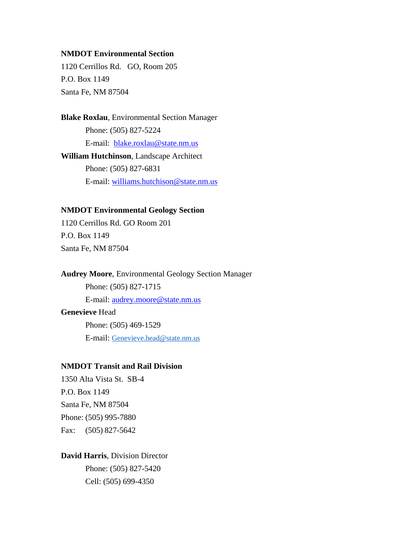#### **NMDOT Environmental Section**

1120 Cerrillos Rd. GO, Room 205 P.O. Box 1149 Santa Fe, NM 87504

**Blake Roxlau**, Environmental Section Manager Phone: (505) 827-5224 E-mail: [blake.roxlau@state.nm.us](mailto:blake.roxlau@state.nm.us) **William Hutchinson**, Landscape Architect Phone: (505) 827-6831 E-mail: [williams.hutchison@state.nm.us](mailto:williams.hutchison@state.nm.us)

#### **NMDOT Environmental Geology Section**

1120 Cerrillos Rd. GO Room 201 P.O. Box 1149 Santa Fe, NM 87504

**Audrey Moore**, Environmental Geology Section Manager Phone: (505) 827-1715 E-mail: [audrey.moore@state.nm.us](mailto:audrey.moore@state.nm.us) **Genevieve** Head Phone: (505) 469-1529 E-mail: [Genevieve.head@state.nm.us](mailto:Genevieve.head@state.nm.us)

### **NMDOT Transit and Rail Division**

1350 Alta Vista St. SB-4 P.O. Box 1149 Santa Fe, NM 87504 Phone: (505) 995-7880 Fax: (505) 827-5642

**David Harris**, Division Director Phone: (505) 827-5420 Cell: (505) 699-4350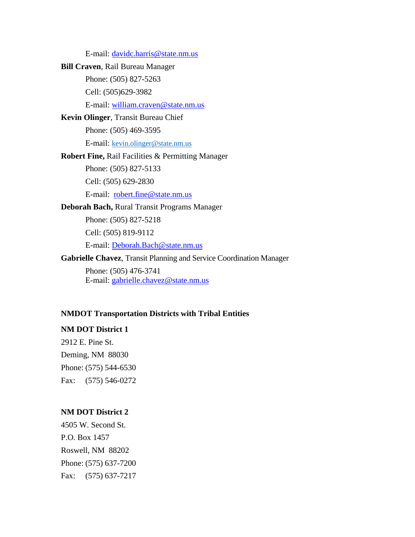E-mail: [davidc.harris@state.nm.us](mailto:davidc.harris@state.nm.us) **Bill Craven**, Rail Bureau Manager Phone: (505) 827-5263 Cell: (505)629-3982 E-mail: [william.craven@state.nm.us](mailto:william.craven@state.nm.us) **Kevin Olinger**, Transit Bureau Chief Phone: (505) 469-3595 E-mail: [kevin.olinger@state.nm.us](mailto:kevin.olinger@state.nm.us) **Robert Fine,** Rail Facilities & Permitting Manager Phone: (505) 827-5133 Cell: (505) 629-2830 E-mail: [robert.fine@state.nm.us](mailto:robert.fine@state.nm.us) **Deborah Bach,** Rural Transit Programs Manager Phone: (505) 827-5218 Cell: (505) 819-9112 E-mail: [Deborah.Bach@state.nm.us](mailto:Deborah.Bach@state.nm.us) **Gabrielle Chavez**, Transit Planning and Service Coordination Manager Phone: (505) 476-3741 E-mail: [gabrielle.chavez@state.nm.us](mailto:gabrielle.chavez@state.nm.us)

#### **NMDOT Transportation Districts with Tribal Entities**

#### **NM DOT District 1**

2912 E. Pine St. Deming, NM 88030 Phone: (575) 544-6530 Fax: (575) 546-0272

#### **NM DOT District 2**

4505 W. Second St. P.O. Box 1457 Roswell, NM 88202 Phone: (575) 637-7200 Fax: (575) 637-7217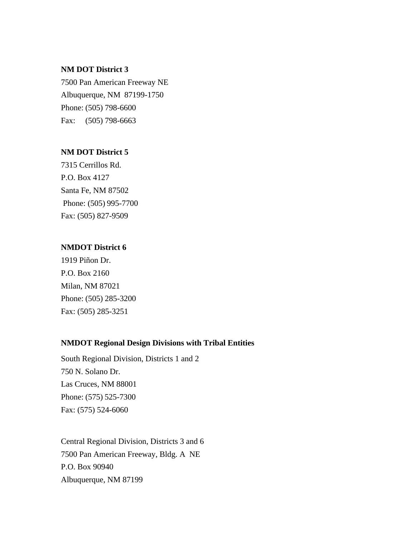#### **NM DOT District 3**

7500 Pan American Freeway NE Albuquerque, NM 87199-1750 Phone: (505) 798-6600 Fax: (505) 798-6663

#### **NM DOT District 5**

7315 Cerrillos Rd. P.O. Box 4127 Santa Fe, NM 87502 Phone: (505) 995-7700 Fax: (505) 827-9509

#### **NMDOT District 6**

1919 Piñon Dr. P.O. Box 2160 Milan, NM 87021 Phone: (505) 285-3200 Fax: (505) 285-3251

### **NMDOT Regional Design Divisions with Tribal Entities**

South Regional Division, Districts 1 and 2 750 N. Solano Dr. Las Cruces, NM 88001 Phone: (575) 525-7300 Fax: (575) 524-6060

Central Regional Division, Districts 3 and 6 7500 Pan American Freeway, Bldg. A NE P.O. Box 90940 Albuquerque, NM 87199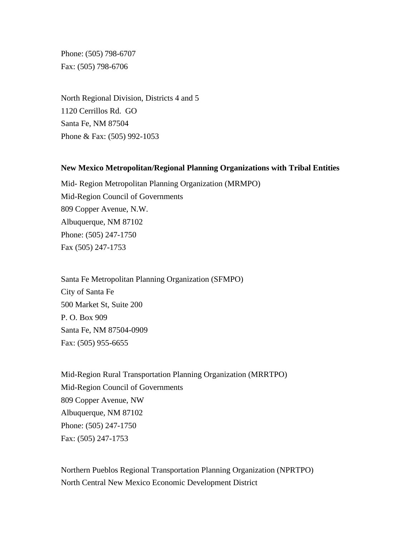Phone: (505) 798-6707 Fax: (505) 798-6706

North Regional Division, Districts 4 and 5 1120 Cerrillos Rd. GO Santa Fe, NM 87504 Phone & Fax: (505) 992-1053

#### **New Mexico Metropolitan/Regional Planning Organizations with Tribal Entities**

Mid- Region Metropolitan Planning Organization (MRMPO) Mid-Region Council of Governments 809 Copper Avenue, N.W. Albuquerque, NM 87102 Phone: (505) 247-1750 Fax (505) 247-1753

Santa Fe Metropolitan Planning Organization (SFMPO) City of Santa Fe 500 Market St, Suite 200 P. O. Box 909 Santa Fe, NM 87504-0909 Fax: (505) 955-6655

Mid-Region Rural Transportation Planning Organization (MRRTPO) Mid-Region Council of Governments 809 Copper Avenue, NW Albuquerque, NM 87102 Phone: (505) 247-1750 Fax: (505) 247-1753

Northern Pueblos Regional Transportation Planning Organization (NPRTPO) North Central New Mexico Economic Development District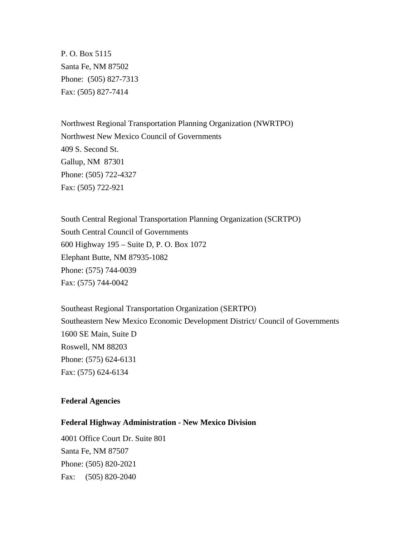P. O. Box 5115 Santa Fe, NM 87502 Phone: (505) 827-7313 Fax: (505) 827-7414

Northwest Regional Transportation Planning Organization (NWRTPO) Northwest New Mexico Council of Governments 409 S. Second St. Gallup, NM 87301 Phone: (505) 722-4327 Fax: (505) 722-921

South Central Regional Transportation Planning Organization (SCRTPO) South Central Council of Governments 600 Highway 195 – Suite D, P. O. Box 1072 Elephant Butte, NM 87935-1082 Phone: (575) 744-0039 Fax: (575) 744-0042

Southeast Regional Transportation Organization (SERTPO) Southeastern New Mexico Economic Development District/ Council of Governments 1600 SE Main, Suite D Roswell, NM 88203 Phone: (575) 624-6131 Fax: (575) 624-6134

#### **Federal Agencies**

#### **Federal Highway Administration - New Mexico Division**

4001 Office Court Dr. Suite 801 Santa Fe, NM 87507 Phone: (505) 820-2021 Fax: (505) 820-2040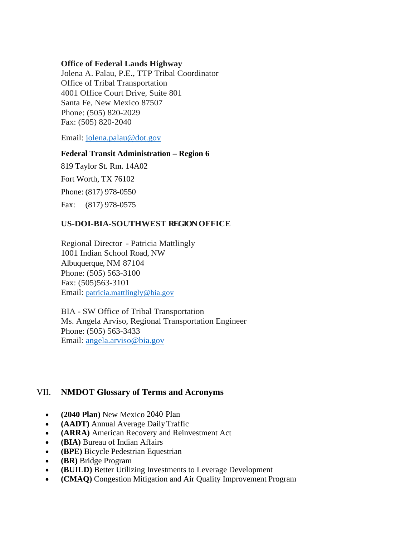### **Office of Federal Lands Highway**

Jolena A. Palau, P.E., TTP Tribal Coordinator Office of Tribal Transportation 4001 Office Court Drive, Suite 801 Santa Fe, New Mexico 87507 Phone: (505) 820-2029 Fax: (505) 820-2040

Email: [jolena.palau@dot.gov](mailto:jolena.palau@dot.gov)

#### **Federal Transit Administration – Region 6**

819 Taylor St. Rm. 14A02 Fort Worth, TX 76102 Phone: (817) 978-0550 Fax: (817) 978-0575

## **US-DOI-BIA-SOUTHWEST REGIONOFFICE**

Regional Director - Patricia Mattlingly 1001 Indian School Road, NW Albuquerque, NM 87104 Phone: (505) 563-3100 Fax: (505)563-3101 Email: [patricia.mattlingly@bia.gov](mailto:patricia.mattlingly@bia.gov)

BIA - SW Office of Tribal Transportation Ms. Angela Arviso, Regional Transportation Engineer Phone: (505) 563-3433 Email: [angela.arviso@bia.gov](mailto:angela.arviso@bia.gov)

## VII. **NMDOT Glossary of Terms and Acronyms**

- **(2040 Plan)** New Mexico 2040 Plan
- **(AADT)** Annual Average DailyTraffic
- **(ARRA)** American Recovery and Reinvestment Act
- **(BIA)** Bureau of Indian Affairs
- **(BPE)** Bicycle Pedestrian Equestrian
- **(BR)** Bridge Program
- **(BUILD)** Better Utilizing Investments to Leverage Development
- **(CMAQ)** Congestion Mitigation and Air Quality Improvement Program